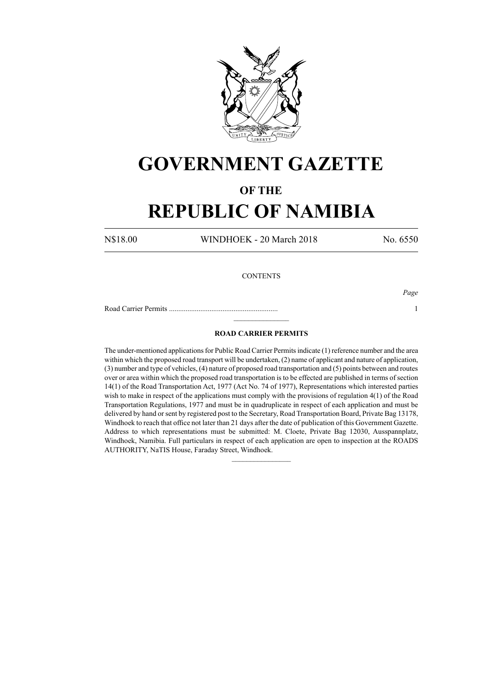

## **GOVERNMENT GAZETTE**

### **OF THE**

# **REPUBLIC OF NAMIBIA**

N\$18.00 WINDHOEK - 20 March 2018 No. 6550

#### **CONTENTS**

Road Carrier Permits ........................................................... 1

*Page*

### **ROAD CARRIER PERMITS**

 $\frac{1}{2}$ 

The under-mentioned applications for Public Road Carrier Permits indicate (1) reference number and the area within which the proposed road transport will be undertaken, (2) name of applicant and nature of application, (3) number and type of vehicles, (4) nature of proposed road transportation and (5) points between and routes over or area within which the proposed road transportation is to be effected are published in terms of section 14(1) of the Road Transportation Act, 1977 (Act No. 74 of 1977), Representations which interested parties wish to make in respect of the applications must comply with the provisions of regulation 4(1) of the Road Transportation Regulations, 1977 and must be in quadruplicate in respect of each application and must be delivered by hand or sent by registered post to the Secretary, Road Transportation Board, Private Bag 13178, Windhoek to reach that office not later than 21 days after the date of publication of this Government Gazette. Address to which representations must be submitted: M. Cloete, Private Bag 12030, Ausspannplatz, Windhoek, Namibia. Full particulars in respect of each application are open to inspection at the ROADS AUTHORITY, NaTIS House, Faraday Street, Windhoek.

 $\frac{1}{2}$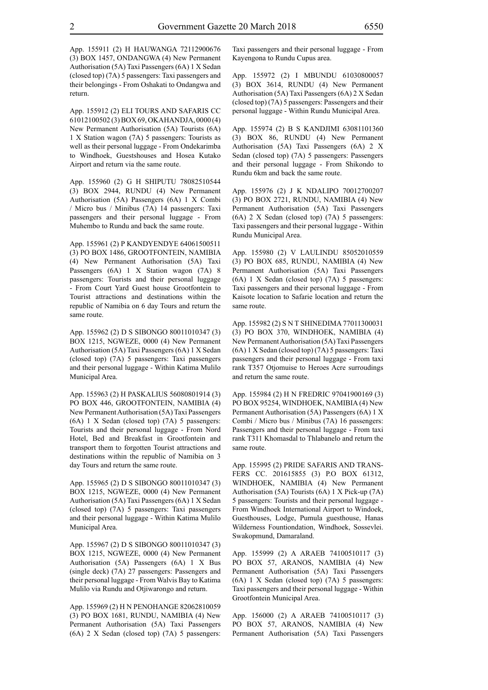App. 155912 (2) ELI TOURS AND SAFARIS CC 61012100502 (3) BOX 69, OKAHANDJA, 0000 (4) New Permanent Authorisation (5A) Tourists (6A) 1 X Station wagon (7A) 5 passengers: Tourists as well as their personal luggage - From Ondekarimba to Windhoek, Guestshouses and Hosea Kutako Airport and return via the same route.

App. 155960 (2) G H SHIPUTU 78082510544 (3) BOX 2944, RUNDU (4) New Permanent Authorisation (5A) Passengers (6A) 1 X Combi / Micro bus / Minibus (7A) 14 passengers: Taxi passengers and their personal luggage - From Muhembo to Rundu and back the same route.

App. 155961 (2) P KANDYENDYE 64061500511 (3) PO BOX 1486, GROOTFONTEIN, NAMIBIA (4) New Permanent Authorisation (5A) Taxi Passengers (6A) 1 X Station wagon (7A) 8 passengers: Tourists and their personal luggage - From Court Yard Guest house Grootfontein to Tourist attractions and destinations within the republic of Namibia on 6 day Tours and return the same route.

App. 155962 (2) D S SIBONGO 80011010347 (3) BOX 1215, NGWEZE, 0000 (4) New Permanent Authorisation (5A) Taxi Passengers (6A) 1 X Sedan (closed top) (7A) 5 passengers: Taxi passengers and their personal luggage - Within Katima Mulilo Municipal Area.

App. 155963 (2) H PASKALIUS 56080801914 (3) PO BOX 446, GROOTFONTEIN, NAMIBIA (4) New Permanent Authorisation (5A) Taxi Passengers (6A) 1 X Sedan (closed top) (7A) 5 passengers: Tourists and their personal luggage - From Nord Hotel, Bed and Breakfast in Grootfontein and transport them to forgotten Tourist attractions and destinations within the republic of Namibia on 3 day Tours and return the same route.

App. 155965 (2) D S SIBONGO 80011010347 (3) BOX 1215, NGWEZE, 0000 (4) New Permanent Authorisation (5A) Taxi Passengers (6A) 1 X Sedan (closed top) (7A) 5 passengers: Taxi passengers and their personal luggage - Within Katima Mulilo Municipal Area.

App. 155967 (2) D S SIBONGO 80011010347 (3) BOX 1215, NGWEZE, 0000 (4) New Permanent Authorisation (5A) Passengers (6A) 1 X Bus (single deck) (7A) 27 passengers: Passengers and their personal luggage - From Walvis Bay to Katima Mulilo via Rundu and Otjiwarongo and return.

App. 155969 (2) H N PENOHANGE 82062810059 (3) PO BOX 1681, RUNDU, NAMIBIA (4) New Permanent Authorisation (5A) Taxi Passengers (6A) 2 X Sedan (closed top) (7A) 5 passengers: Taxi passengers and their personal luggage - From Kayengona to Rundu Cupus area.

App. 155972 (2) I MBUNDU 61030800057 (3) BOX 3614, RUNDU (4) New Permanent Authorisation (5A) Taxi Passengers (6A) 2 X Sedan (closed top) (7A) 5 passengers: Passengers and their personal luggage - Within Rundu Municipal Area.

App. 155974 (2) B S KANDJIMI 63081101360 (3) BOX 86, RUNDU (4) New Permanent Authorisation (5A) Taxi Passengers (6A) 2 X Sedan (closed top) (7A) 5 passengers: Passengers and their personal luggage - From Shikondo to Rundu 6km and back the same route.

App. 155976 (2) J K NDALIPO 70012700207 (3) PO BOX 2721, RUNDU, NAMIBIA (4) New Permanent Authorisation (5A) Taxi Passengers (6A) 2 X Sedan (closed top) (7A) 5 passengers: Taxi passengers and their personal luggage - Within Rundu Municipal Area.

App. 155980 (2) V LAULINDU 85052010559 (3) PO BOX 685, RUNDU, NAMIBIA (4) New Permanent Authorisation (5A) Taxi Passengers (6A) 1 X Sedan (closed top) (7A) 5 passengers: Taxi passengers and their personal luggage - From Kaisote location to Safarie location and return the same route.

App. 155982 (2) S N T SHINEDIMA 77011300031 (3) PO BOX 370, WINDHOEK, NAMIBIA (4) New Permanent Authorisation (5A) Taxi Passengers (6A) 1 X Sedan (closed top) (7A) 5 passengers: Taxi passengers and their personal luggage - From taxi rank T357 Otjomuise to Heroes Acre surroudings and return the same route.

App. 155984 (2) H N FREDRIC 97041900169 (3) PO BOX 95254, WINDHOEK, NAMIBIA (4) New Permanent Authorisation (5A) Passengers (6A) 1 X Combi / Micro bus / Minibus (7A) 16 passengers: Passengers and their personal luggage - From taxi rank T311 Khomasdal to Thlabanelo and return the same route.

App. 155995 (2) PRIDE SAFARIS AND TRANS-FERS CC. 201615855 (3) P.O BOX 61312, WINDHOEK, NAMIBIA (4) New Permanent Authorisation (5A) Tourists (6A) 1 X Pick-up (7A) 5 passengers: Tourists and their personal luggage - From Windhoek International Airport to Windoek, Guesthouses, Lodge, Pumula guesthouse, Hanas Wilderness Fountiondation, Windhoek, Sossevlei. Swakopmund, Damaraland.

App. 155999 (2) A ARAEB 74100510117 (3) PO BOX 57, ARANOS, NAMIBIA (4) New Permanent Authorisation (5A) Taxi Passengers (6A) 1 X Sedan (closed top) (7A) 5 passengers: Taxi passengers and their personal luggage - Within Grootfontein Municipal Area.

App. 156000 (2) A ARAEB 74100510117 (3) PO BOX 57, ARANOS, NAMIBIA (4) New Permanent Authorisation (5A) Taxi Passengers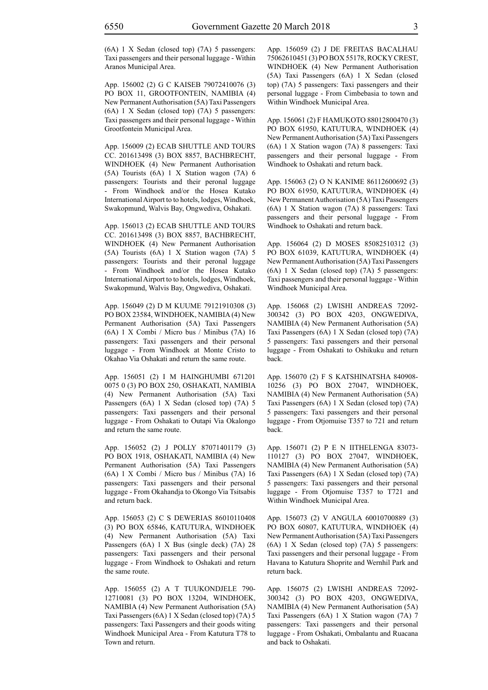(6A) 1 X Sedan (closed top) (7A) 5 passengers: Taxi passengers and their personal luggage - Within Aranos Municipal Area.

App. 156002 (2) G C KAISEB 79072410076 (3) PO BOX 11, GROOTFONTEIN, NAMIBIA (4) New Permanent Authorisation (5A) Taxi Passengers (6A) 1 X Sedan (closed top) (7A) 5 passengers: Taxi passengers and their personal luggage - Within Grootfontein Municipal Area.

App. 156009 (2) ECAB SHUTTLE AND TOURS CC. 201613498 (3) BOX 8857, BACHBRECHT, WINDHOEK (4) New Permanent Authorisation (5A) Tourists (6A) 1 X Station wagon (7A) 6 passengers: Tourists and their peronal luggage - From Windhoek and/or the Hosea Kutako International Airport to to hotels, lodges, Windhoek, Swakopmund, Walvis Bay, Ongwediva, Oshakati.

App. 156013 (2) ECAB SHUTTLE AND TOURS CC. 201613498 (3) BOX 8857, BACHBRECHT, WINDHOEK (4) New Permanent Authorisation (5A) Tourists (6A) 1 X Station wagon (7A) 5 passengers: Tourists and their peronal luggage - From Windhoek and/or the Hosea Kutako International Airport to to hotels, lodges, Windhoek, Swakopmund, Walvis Bay, Ongwediva, Oshakati.

App. 156049 (2) D M KUUME 79121910308 (3) PO BOX 23584, WINDHOEK, NAMIBIA (4) New Permanent Authorisation (5A) Taxi Passengers (6A) 1 X Combi / Micro bus / Minibus (7A) 16 passengers: Taxi passengers and their personal luggage - From Windhoek at Monte Cristo to Okahao Via Oshakati and return the same route.

App. 156051 (2) I M HAINGHUMBI 671201 0075 0 (3) PO BOX 250, OSHAKATI, NAMIBIA (4) New Permanent Authorisation (5A) Taxi Passengers (6A) 1 X Sedan (closed top) (7A) 5 passengers: Taxi passengers and their personal luggage - From Oshakati to Outapi Via Okalongo and return the same route.

App. 156052 (2) J POLLY 87071401179 (3) PO BOX 1918, OSHAKATI, NAMIBIA (4) New Permanent Authorisation (5A) Taxi Passengers (6A) 1 X Combi / Micro bus / Minibus (7A) 16 passengers: Taxi passengers and their personal luggage - From Okahandja to Okongo Via Tsitsabis and return back.

App. 156053 (2) C S DEWERIAS 86010110408 (3) PO BOX 65846, KATUTURA, WINDHOEK (4) New Permanent Authorisation (5A) Taxi Passengers (6A) 1 X Bus (single deck) (7A) 28 passengers: Taxi passengers and their personal luggage - From Windhoek to Oshakati and return the same route.

App. 156055 (2) A T TUUKONDJELE 790- 12710081 (3) PO BOX 13204, WINDHOEK, NAMIBIA (4) New Permanent Authorisation (5A) Taxi Passengers (6A) 1 X Sedan (closed top) (7A) 5 passengers: Taxi Passengers and their goods witing Windhoek Municipal Area - From Katutura T78 to Town and return.

App. 156059 (2) J DE FREITAS BACALHAU 75062610451 (3) PO BOX 55178, ROCKY CREST, WINDHOEK (4) New Permanent Authorisation (5A) Taxi Passengers (6A) 1 X Sedan (closed top) (7A) 5 passengers: Taxi passengers and their personal luggage - From Cimbebasia to town and Within Windhoek Municipal Area.

App. 156061 (2) F HAMUKOTO 88012800470 (3) PO BOX 61950, KATUTURA, WINDHOEK (4) New Permanent Authorisation (5A) Taxi Passengers (6A) 1 X Station wagon (7A) 8 passengers: Taxi passengers and their personal luggage - From Windhoek to Oshakati and return back.

App. 156063 (2) O N KANIME 86112600692 (3) PO BOX 61950, KATUTURA, WINDHOEK (4) New Permanent Authorisation (5A) Taxi Passengers (6A) 1 X Station wagon (7A) 8 passengers: Taxi passengers and their personal luggage - From Windhoek to Oshakati and return back.

App. 156064 (2) D MOSES 85082510312 (3) PO BOX 61039, KATUTURA, WINDHOEK (4) New Permanent Authorisation (5A) Taxi Passengers (6A) 1 X Sedan (closed top) (7A) 5 passengers: Taxi passengers and their personal luggage - Within Windhoek Municipal Area.

App. 156068 (2) LWISHI ANDREAS 72092- 300342 (3) PO BOX 4203, ONGWEDIVA, NAMIBIA (4) New Permanent Authorisation (5A) Taxi Passengers (6A) 1 X Sedan (closed top) (7A) 5 passengers: Taxi passengers and their personal luggage - From Oshakati to Oshikuku and return back.

App. 156070 (2) F S KATSHINATSHA 840908- 10256 (3) PO BOX 27047, WINDHOEK, NAMIBIA (4) New Permanent Authorisation (5A) Taxi Passengers (6A) 1 X Sedan (closed top) (7A) 5 passengers: Taxi passengers and their personal luggage - From Otjomuise T357 to 721 and return back.

App. 156071 (2) P E N IITHELENGA 83073- 110127 (3) PO BOX 27047, WINDHOEK, NAMIBIA (4) New Permanent Authorisation (5A) Taxi Passengers (6A) 1 X Sedan (closed top) (7A) 5 passengers: Taxi passengers and their personal luggage - From Otjomuise T357 to T721 and Within Windhoek Municipal Area.

App. 156073 (2) V ANGULA 60010700889 (3) PO BOX 60807, KATUTURA, WINDHOEK (4) New Permanent Authorisation (5A) Taxi Passengers (6A) 1 X Sedan (closed top) (7A) 5 passengers: Taxi passengers and their personal luggage - From Havana to Katutura Shoprite and Wernhil Park and return back.

App. 156075 (2) LWISHI ANDREAS 72092- 300342 (3) PO BOX 4203, ONGWEDIVA, NAMIBIA (4) New Permanent Authorisation (5A) Taxi Passengers (6A) 1 X Station wagon (7A) 7 passengers: Taxi passengers and their personal luggage - From Oshakati, Ombalantu and Ruacana and back to Oshakati.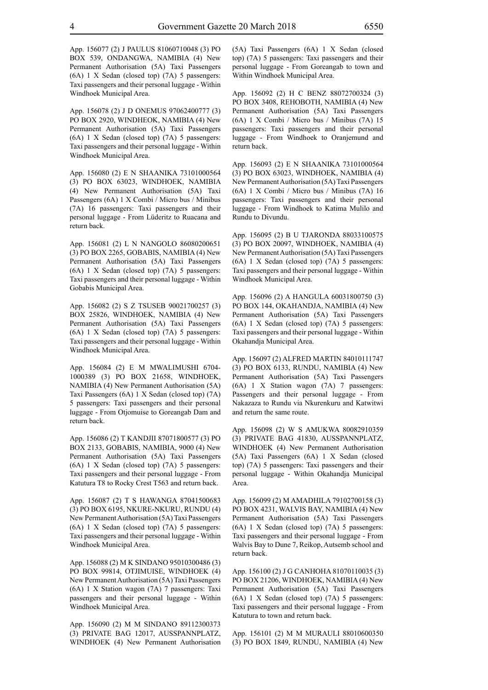App. 156077 (2) J PAULUS 81060710048 (3) PO BOX 539, ONDANGWA, NAMIBIA (4) New Permanent Authorisation (5A) Taxi Passengers (6A) 1 X Sedan (closed top) (7A) 5 passengers: Taxi passengers and their personal luggage - Within Windhoek Municipal Area.

App. 156078 (2) J D ONEMUS 97062400777 (3) PO BOX 2920, WINDHEOK, NAMIBIA (4) New Permanent Authorisation (5A) Taxi Passengers (6A) 1 X Sedan (closed top) (7A) 5 passengers: Taxi passengers and their personal luggage - Within Windhoek Municipal Area.

App. 156080 (2) E N SHAANIKA 73101000564 (3) PO BOX 63023, WINDHOEK, NAMIBIA (4) New Permanent Authorisation (5A) Taxi Passengers (6A) 1 X Combi / Micro bus / Minibus (7A) 16 passengers: Taxi passengers and their personal luggage - From Lüderitz to Ruacana and return back.

App. 156081 (2) L N NANGOLO 86080200651 (3) PO BOX 2265, GOBABIS, NAMIBIA (4) New Permanent Authorisation (5A) Taxi Passengers (6A) 1 X Sedan (closed top) (7A) 5 passengers: Taxi passengers and their personal luggage - Within Gobabis Municipal Area.

App. 156082 (2) S Z TSUSEB 90021700257 (3) BOX 25826, WINDHOEK, NAMIBIA (4) New Permanent Authorisation (5A) Taxi Passengers (6A) 1 X Sedan (closed top) (7A) 5 passengers: Taxi passengers and their personal luggage - Within Windhoek Municipal Area.

App. 156084 (2) E M MWALIMUSHI 6704- 1000389 (3) PO BOX 21658, WINDHOEK, NAMIBIA (4) New Permanent Authorisation (5A) Taxi Passengers (6A) 1 X Sedan (closed top) (7A) 5 passengers: Taxi passengers and their personal luggage - From Otjomuise to Goreangab Dam and return back.

App. 156086 (2) T KANDJII 87071800577 (3) PO BOX 2133, GOBABIS, NAMIBIA, 9000 (4) New Permanent Authorisation (5A) Taxi Passengers (6A) 1 X Sedan (closed top) (7A) 5 passengers: Taxi passengers and their personal luggage - From Katutura T8 to Rocky Crest T563 and return back.

App. 156087 (2) T S HAWANGA 87041500683 (3) PO BOX 6195, NKURE-NKURU, RUNDU (4) New Permanent Authorisation (5A) Taxi Passengers (6A) 1 X Sedan (closed top) (7A) 5 passengers: Taxi passengers and their personal luggage - Within Windhoek Municipal Area.

App. 156088 (2) M K SINDANO 95010300486 (3) PO BOX 99814, OTJIMUISE, WINDHOEK (4) New Permanent Authorisation (5A) Taxi Passengers (6A) 1 X Station wagon (7A) 7 passengers: Taxi passengers and their personal luggage - Within Windhoek Municipal Area.

App. 156090 (2) M M SINDANO 89112300373 (3) PRIVATE BAG 12017, AUSSPANNPLATZ, WINDHOEK (4) New Permanent Authorisation (5A) Taxi Passengers (6A) 1 X Sedan (closed top) (7A) 5 passengers: Taxi passengers and their personal luggage - From Goreangab to town and Within Windhoek Municipal Area.

App. 156092 (2) H C BENZ 88072700324 (3) PO BOX 3408, REHOBOTH, NAMIBIA (4) New Permanent Authorisation (5A) Taxi Passengers (6A) 1 X Combi / Micro bus / Minibus (7A) 15 passengers: Taxi passengers and their personal luggage - From Windhoek to Oranjemund and return back.

App. 156093 (2) E N SHAANIKA 73101000564 (3) PO BOX 63023, WINDHOEK, NAMIBIA (4) New Permanent Authorisation (5A) Taxi Passengers (6A) 1 X Combi / Micro bus / Minibus (7A) 16 passengers: Taxi passengers and their personal luggage - From Windhoek to Katima Mulilo and Rundu to Divundu.

App. 156095 (2) B U TJARONDA 88033100575 (3) PO BOX 20097, WINDHOEK, NAMIBIA (4) New Permanent Authorisation (5A) Taxi Passengers (6A) 1 X Sedan (closed top) (7A) 5 passengers: Taxi passengers and their personal luggage - Within Windhoek Municipal Area.

App. 156096 (2) A HANGULA 60031800750 (3) PO BOX 144, OKAHANDJA, NAMIBIA (4) New Permanent Authorisation (5A) Taxi Passengers (6A) 1 X Sedan (closed top) (7A) 5 passengers: Taxi passengers and their personal luggage - Within Okahandja Municipal Area.

App. 156097 (2) ALFRED MARTIN 84010111747 (3) PO BOX 6133, RUNDU, NAMIBIA (4) New Permanent Authorisation (5A) Taxi Passengers (6A) 1 X Station wagon (7A) 7 passengers: Passengers and their personal luggage - From Nakazaza to Rundu via Nkurenkuru and Katwitwi and return the same route.

App. 156098 (2) W S AMUKWA 80082910359 (3) PRIVATE BAG 41830, AUSSPANNPLATZ, WINDHOEK (4) New Permanent Authorisation (5A) Taxi Passengers (6A) 1 X Sedan (closed top) (7A) 5 passengers: Taxi passengers and their personal luggage - Within Okahandja Municipal Area.

App. 156099 (2) M AMADHILA 79102700158 (3) PO BOX 4231, WALVIS BAY, NAMIBIA (4) New Permanent Authorisation (5A) Taxi Passengers (6A) 1 X Sedan (closed top) (7A) 5 passengers: Taxi passengers and their personal luggage - From Walvis Bay to Dune 7, Reikop, Autsemb school and return back.

App. 156100 (2) J G CANHOHA 81070110035 (3) PO BOX 21206, WINDHOEK, NAMIBIA (4) New Permanent Authorisation (5A) Taxi Passengers (6A) 1 X Sedan (closed top) (7A) 5 passengers: Taxi passengers and their personal luggage - From Katutura to town and return back.

App. 156101 (2) M M MURAULI 88010600350 (3) PO BOX 1849, RUNDU, NAMIBIA (4) New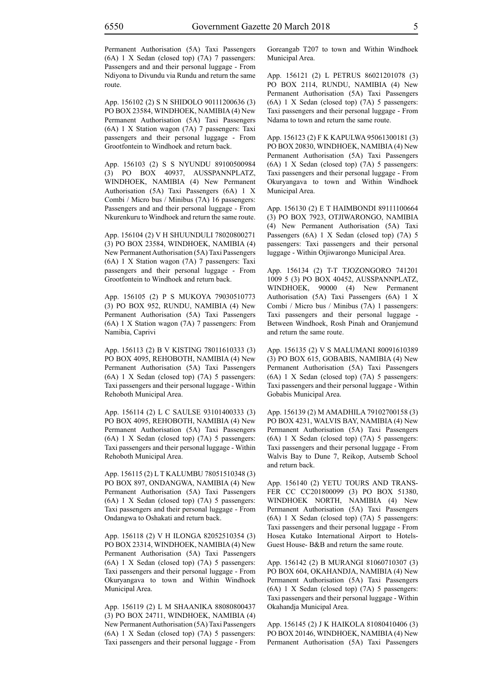Permanent Authorisation (5A) Taxi Passengers (6A) 1 X Sedan (closed top) (7A) 7 passengers: Passengers and and their personal luggage - From Ndiyona to Divundu via Rundu and return the same route.

App. 156102 (2) S N SHIDOLO 90111200636 (3) PO BOX 23584, WINDHOEK, NAMIBIA (4) New Permanent Authorisation (5A) Taxi Passengers (6A) 1 X Station wagon (7A) 7 passengers: Taxi passengers and their personal luggage - From Grootfontein to Windhoek and return back.

App. 156103 (2) S S NYUNDU 89100500984 (3) PO BOX 40937, AUSSPANNPLATZ, WINDHOEK, NAMIBIA (4) New Permanent Authorisation (5A) Taxi Passengers (6A) 1 X Combi / Micro bus / Minibus (7A) 16 passengers: Passengers and and their personal luggage - From Nkurenkuru to Windhoek and return the same route.

App. 156104 (2) V H SHUUNDULI 78020800271 (3) PO BOX 23584, WINDHOEK, NAMIBIA (4) New Permanent Authorisation (5A) Taxi Passengers (6A) 1 X Station wagon (7A) 7 passengers: Taxi passengers and their personal luggage - From Grootfontein to Windhoek and return back.

App. 156105 (2) P S MUKOYA 79030510773 (3) PO BOX 952, RUNDU, NAMIBIA (4) New Permanent Authorisation (5A) Taxi Passengers (6A) 1 X Station wagon (7A) 7 passengers: From Namibia, Caprivi

App. 156113 (2) B V KISTING 78011610333 (3) PO BOX 4095, REHOBOTH, NAMIBIA (4) New Permanent Authorisation (5A) Taxi Passengers (6A) 1 X Sedan (closed top) (7A) 5 passengers: Taxi passengers and their personal luggage - Within Rehoboth Municipal Area.

App. 156114 (2) L C SAULSE 93101400333 (3) PO BOX 4095, REHOBOTH, NAMIBIA (4) New Permanent Authorisation (5A) Taxi Passengers (6A) 1 X Sedan (closed top) (7A) 5 passengers: Taxi passengers and their personal luggage - Within Rehoboth Municipal Area.

App. 156115 (2) L T KALUMBU 78051510348 (3) PO BOX 897, ONDANGWA, NAMIBIA (4) New Permanent Authorisation (5A) Taxi Passengers (6A) 1 X Sedan (closed top) (7A) 5 passengers: Taxi passengers and their personal luggage - From Ondangwa to Oshakati and return back.

App. 156118 (2) V H ILONGA 82052510354 (3) PO BOX 23314, WINDHOEK, NAMIBIA (4) New Permanent Authorisation (5A) Taxi Passengers (6A) 1 X Sedan (closed top) (7A) 5 passengers: Taxi passengers and their personal luggage - From Okuryangava to town and Within Windhoek Municipal Area.

App. 156119 (2) L M SHAANIKA 88080800437 (3) PO BOX 24711, WINDHOEK, NAMIBIA (4) New Permanent Authorisation (5A) Taxi Passengers (6A) 1 X Sedan (closed top) (7A) 5 passengers: Taxi passengers and their personal luggage - From Goreangab T207 to town and Within Windhoek Municipal Area.

App. 156121 (2) L PETRUS 86021201078 (3) PO BOX 2114, RUNDU, NAMIBIA (4) New Permanent Authorisation (5A) Taxi Passengers (6A) 1 X Sedan (closed top) (7A) 5 passengers: Taxi passengers and their personal luggage - From Ndama to town and return the same route.

App. 156123 (2) F K KAPULWA 95061300181 (3) PO BOX 20830, WINDHOEK, NAMIBIA (4) New Permanent Authorisation (5A) Taxi Passengers (6A) 1 X Sedan (closed top) (7A) 5 passengers: Taxi passengers and their personal luggage - From Okuryangava to town and Within Windhoek Municipal Area.

App. 156130 (2) E T HAIMBONDI 89111100664 (3) PO BOX 7923, OTJIWARONGO, NAMIBIA (4) New Permanent Authorisation (5A) Taxi Passengers (6A) 1 X Sedan (closed top) (7A) 5 passengers: Taxi passengers and their personal luggage - Within Otjiwarongo Municipal Area.

App. 156134 (2) T-T TJOZONGORO 741201 1009 5 (3) PO BOX 40452, AUSSPANNPLATZ, WINDHOEK, 90000 (4) New Permanent Authorisation (5A) Taxi Passengers (6A) 1 X Combi / Micro bus / Minibus (7A) 1 passengers: Taxi passengers and their personal luggage - Between Windhoek, Rosh Pinah and Oranjemund and return the same route.

App. 156135 (2) V S MALUMANI 80091610389 (3) PO BOX 615, GOBABIS, NAMIBIA (4) New Permanent Authorisation (5A) Taxi Passengers (6A) 1 X Sedan (closed top) (7A) 5 passengers: Taxi passengers and their personal luggage - Within Gobabis Municipal Area.

App. 156139 (2) M AMADHILA 79102700158 (3) PO BOX 4231, WALVIS BAY, NAMIBIA (4) New Permanent Authorisation (5A) Taxi Passengers (6A) 1 X Sedan (closed top) (7A) 5 passengers: Taxi passengers and their personal luggage - From Walvis Bay to Dune 7, Reikop, Autsemb School and return back.

App. 156140 (2) YETU TOURS AND TRANS-FER CC CC201800099 (3) PO BOX 51380, WINDHOEK NORTH, NAMIBIA (4) New Permanent Authorisation (5A) Taxi Passengers (6A) 1 X Sedan (closed top) (7A) 5 passengers: Taxi passengers and their personal luggage - From Hosea Kutako International Airport to Hotels-Guest House- B&B and return the same route.

App. 156142 (2) B MURANGI 81060710307 (3) PO BOX 604, OKAHANDJA, NAMIBIA (4) New Permanent Authorisation (5A) Taxi Passengers (6A) 1 X Sedan (closed top) (7A) 5 passengers: Taxi passengers and their personal luggage - Within Okahandja Municipal Area.

App. 156145 (2) J K HAIKOLA 81080410406 (3) PO BOX 20146, WINDHOEK, NAMIBIA (4) New Permanent Authorisation (5A) Taxi Passengers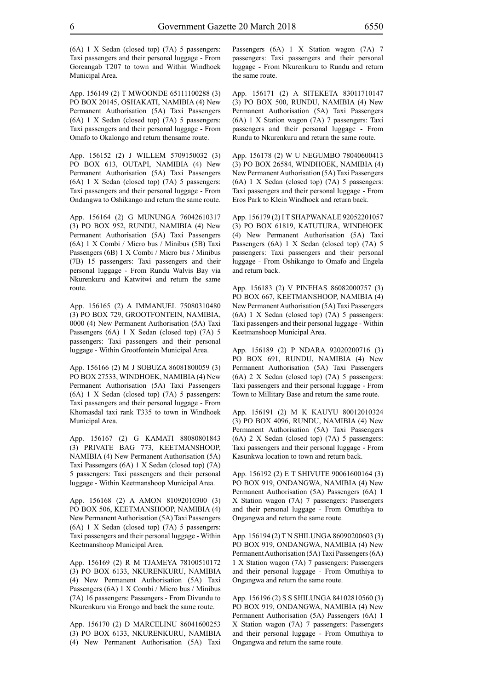(6A) 1 X Sedan (closed top) (7A) 5 passengers: Taxi passengers and their personal luggage - From Goreangab T207 to town and Within Windhoek Municipal Area.

App. 156149 (2) T MWOONDE 65111100288 (3) PO BOX 20145, OSHAKATI, NAMIBIA (4) New Permanent Authorisation (5A) Taxi Passengers (6A) 1 X Sedan (closed top) (7A) 5 passengers: Taxi passengers and their personal luggage - From Omafo to Okalongo and return thensame route.

App. 156152 (2) J WILLEM 5709150032 (3) PO BOX 613, OUTAPI, NAMIBIA (4) New Permanent Authorisation (5A) Taxi Passengers (6A) 1 X Sedan (closed top) (7A) 5 passengers: Taxi passengers and their personal luggage - From Ondangwa to Oshikango and return the same route.

App. 156164 (2) G MUNUNGA 76042610317 (3) PO BOX 952, RUNDU, NAMIBIA (4) New Permanent Authorisation (5A) Taxi Passengers (6A) 1 X Combi / Micro bus / Minibus (5B) Taxi Passengers (6B) 1 X Combi / Micro bus / Minibus (7B) 15 passengers: Taxi passengers and their personal luggage - From Rundu Walvis Bay via Nkurenkuru and Katwitwi and return the same route.

App. 156165 (2) A IMMANUEL 75080310480 (3) PO BOX 729, GROOTFONTEIN, NAMIBIA, 0000 (4) New Permanent Authorisation (5A) Taxi Passengers (6A) 1 X Sedan (closed top) (7A) 5 passengers: Taxi passengers and their personal luggage - Within Grootfontein Municipal Area.

App. 156166 (2) M J SOBUZA 86081800059 (3) PO BOX 27533, WINDHOEK, NAMIBIA (4) New Permanent Authorisation (5A) Taxi Passengers (6A) 1 X Sedan (closed top) (7A) 5 passengers: Taxi passengers and their personal luggage - From Khomasdal taxi rank T335 to town in Windhoek Municipal Area.

App. 156167 (2) G KAMATI 88080801843 (3) PRIVATE BAG 773, KEETMANSHOOP, NAMIBIA (4) New Permanent Authorisation (5A) Taxi Passengers (6A) 1 X Sedan (closed top) (7A) 5 passengers: Taxi passengers and their personal luggage - Within Keetmanshoop Municipal Area.

App. 156168 (2) A AMON 81092010300 (3) PO BOX 506, KEETMANSHOOP, NAMIBIA (4) New Permanent Authorisation (5A) Taxi Passengers (6A) 1 X Sedan (closed top) (7A) 5 passengers: Taxi passengers and their personal luggage - Within Keetmanshoop Municipal Area.

App. 156169 (2) R M TJAMEYA 78100510172 (3) PO BOX 6133, NKURENKURU, NAMIBIA (4) New Permanent Authorisation (5A) Taxi Passengers (6A) 1 X Combi / Micro bus / Minibus (7A) 16 passengers: Passengers - From Divundu to Nkurenkuru via Erongo and back the same route.

App. 156170 (2) D MARCELINU 86041600253 (3) PO BOX 6133, NKURENKURU, NAMIBIA (4) New Permanent Authorisation (5A) Taxi Passengers (6A) 1 X Station wagon (7A) 7 passengers: Taxi passengers and their personal luggage - From Nkurenkuru to Rundu and return the same route.

App. 156171 (2) A SITEKETA 83011710147 (3) PO BOX 500, RUNDU, NAMIBIA (4) New Permanent Authorisation (5A) Taxi Passengers (6A) 1 X Station wagon (7A) 7 passengers: Taxi passengers and their personal luggage - From Rundu to Nkurenkuru and return the same route.

App. 156178 (2) W U NEGUMBO 78040600413 (3) PO BOX 26584, WINDHOEK, NAMIBIA (4) New Permanent Authorisation (5A) Taxi Passengers (6A) 1 X Sedan (closed top) (7A) 5 passengers: Taxi passengers and their personal luggage - From Eros Park to Klein Windhoek and return back.

App. 156179 (2) I T SHAPWANALE 92052201057 (3) PO BOX 61819, KATUTURA, WINDHOEK (4) New Permanent Authorisation (5A) Taxi Passengers (6A) 1 X Sedan (closed top) (7A) 5 passengers: Taxi passengers and their personal luggage - From Oshikango to Omafo and Engela and return back.

App. 156183 (2) V PINEHAS 86082000757 (3) PO BOX 667, KEETMANSHOOP, NAMIBIA (4) New Permanent Authorisation (5A) Taxi Passengers (6A) 1 X Sedan (closed top) (7A) 5 passengers: Taxi passengers and their personal luggage - Within Keetmanshoop Municipal Area.

App. 156189 (2) P NDARA 92020200716 (3) PO BOX 691, RUNDU, NAMIBIA (4) New Permanent Authorisation (5A) Taxi Passengers (6A) 2 X Sedan (closed top) (7A) 5 passengers: Taxi passengers and their personal luggage - From Town to Millitary Base and return the same route.

App. 156191 (2) M K KAUYU 80012010324 (3) PO BOX 4096, RUNDU, NAMIBIA (4) New Permanent Authorisation (5A) Taxi Passengers (6A) 2 X Sedan (closed top) (7A) 5 passengers: Taxi passengers and their personal luggage - From Kasunkwa location to town and return back.

App. 156192 (2) E T SHIVUTE 90061600164 (3) PO BOX 919, ONDANGWA, NAMIBIA (4) New Permanent Authorisation (5A) Passengers (6A) 1 X Station wagon (7A) 7 passengers: Passengers and their personal luggage - From Omuthiya to Ongangwa and return the same route.

App. 156194 (2) T N SHILUNGA 86090200603 (3) PO BOX 919, ONDANGWA, NAMIBIA (4) New Permanent Authorisation (5A) Taxi Passengers (6A) 1 X Station wagon (7A) 7 passengers: Passengers and their personal luggage - From Omuthiya to Ongangwa and return the same route.

App. 156196 (2) S S SHILUNGA 84102810560 (3) PO BOX 919, ONDANGWA, NAMIBIA (4) New Permanent Authorisation (5A) Passengers (6A) 1 X Station wagon (7A) 7 passengers: Passengers and their personal luggage - From Omuthiya to Ongangwa and return the same route.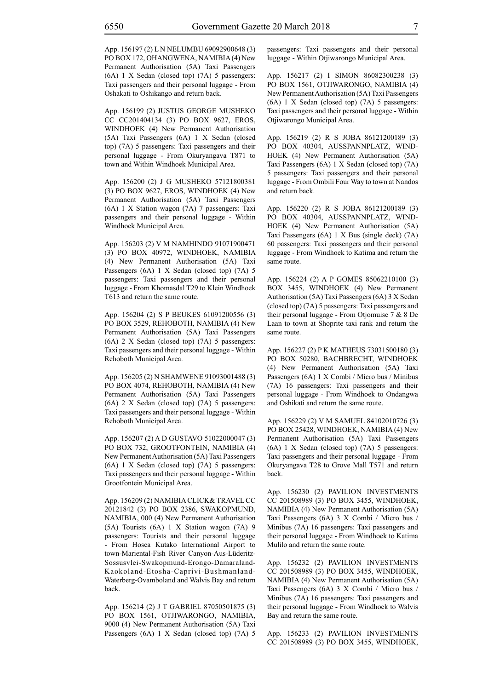App. 156197 (2) L N NELUMBU 69092900648 (3) PO BOX 172, OHANGWENA, NAMIBIA (4) New Permanent Authorisation (5A) Taxi Passengers (6A) 1 X Sedan (closed top) (7A) 5 passengers: Taxi passengers and their personal luggage - From Oshakati to Oshikango and return back.

App. 156199 (2) JUSTUS GEORGE MUSHEKO CC CC201404134 (3) PO BOX 9627, EROS, WINDHOEK (4) New Permanent Authorisation (5A) Taxi Passengers (6A) 1 X Sedan (closed top) (7A) 5 passengers: Taxi passengers and their personal luggage - From Okuryangava T871 to town and Within Windhoek Municipal Area.

App. 156200 (2) J G MUSHEKO 57121800381 (3) PO BOX 9627, EROS, WINDHOEK (4) New Permanent Authorisation (5A) Taxi Passengers (6A) 1 X Station wagon (7A) 7 passengers: Taxi passengers and their personal luggage - Within Windhoek Municipal Area.

App. 156203 (2) V M NAMHINDO 91071900471 (3) PO BOX 40972, WINDHOEK, NAMIBIA (4) New Permanent Authorisation (5A) Taxi Passengers (6A) 1 X Sedan (closed top) (7A) 5 passengers: Taxi passengers and their personal luggage - From Khomasdal T29 to Klein Windhoek T613 and return the same route.

App. 156204 (2) S P BEUKES 61091200556 (3) PO BOX 3529, REHOBOTH, NAMIBIA (4) New Permanent Authorisation (5A) Taxi Passengers (6A) 2 X Sedan (closed top) (7A) 5 passengers: Taxi passengers and their personal luggage - Within Rehoboth Municipal Area.

App. 156205 (2) N SHAMWENE 91093001488 (3) PO BOX 4074, REHOBOTH, NAMIBIA (4) New Permanent Authorisation (5A) Taxi Passengers (6A) 2 X Sedan (closed top) (7A) 5 passengers: Taxi passengers and their personal luggage - Within Rehoboth Municipal Area.

App. 156207 (2) A D GUSTAVO 51022000047 (3) PO BOX 732, GROOTFONTEIN, NAMIBIA (4) New Permanent Authorisation (5A) Taxi Passengers (6A) 1 X Sedan (closed top) (7A) 5 passengers: Taxi passengers and their personal luggage - Within Grootfontein Municipal Area.

App. 156209 (2) NAMIBIA CLICK& TRAVEL CC 20121842 (3) PO BOX 2386, SWAKOPMUND, NAMIBIA, 000 (4) New Permanent Authorisation (5A) Tourists (6A) 1 X Station wagon (7A) 9 passengers: Tourists and their personal luggage - From Hosea Kutako International Airport to town-Mariental-Fish River Canyon-Aus-Lüderitz-Sossusvlei-Swakopmund-Erongo-Damaraland-Kaokoland-Etosha-Caprivi-Bushmanland-Waterberg-Ovamboland and Walvis Bay and return back.

App. 156214 (2) J T GABRIEL 87050501875 (3) PO BOX 1561, OTJIWARONGO, NAMIBIA, 9000 (4) New Permanent Authorisation (5A) Taxi Passengers (6A) 1 X Sedan (closed top) (7A) 5 passengers: Taxi passengers and their personal luggage - Within Otjiwarongo Municipal Area.

App. 156217 (2) I SIMON 86082300238 (3) PO BOX 1561, OTJIWARONGO, NAMIBIA (4) New Permanent Authorisation (5A) Taxi Passengers (6A) 1 X Sedan (closed top) (7A) 5 passengers: Taxi passengers and their personal luggage - Within Otjiwarongo Municipal Area.

App. 156219 (2) R S JOBA 86121200189 (3) PO BOX 40304, AUSSPANNPLATZ, WIND-HOEK (4) New Permanent Authorisation (5A) Taxi Passengers (6A) 1 X Sedan (closed top) (7A) 5 passengers: Taxi passengers and their personal luggage - From Ombili Four Way to town at Nandos and return back.

App. 156220 (2) R S JOBA 86121200189 (3) PO BOX 40304, AUSSPANNPLATZ, WIND-HOEK (4) New Permanent Authorisation (5A) Taxi Passengers (6A) 1 X Bus (single deck) (7A) 60 passengers: Taxi passengers and their personal luggage - From Windhoek to Katima and return the same route.

App. 156224 (2) A P GOMES 85062210100 (3) BOX 3455, WINDHOEK (4) New Permanent Authorisation (5A) Taxi Passengers (6A) 3 X Sedan (closed top) (7A) 5 passengers: Taxi passengers and their personal luggage - From Otjomuise 7 & 8 De Laan to town at Shoprite taxi rank and return the same route.

App. 156227 (2) P K MATHEUS 73031500180 (3) PO BOX 50280, BACHBRECHT, WINDHOEK (4) New Permanent Authorisation (5A) Taxi Passengers (6A) 1 X Combi / Micro bus / Minibus (7A) 16 passengers: Taxi passengers and their personal luggage - From Windhoek to Ondangwa and Oshikati and return the same route.

App. 156229 (2) V M SAMUEL 84102010726 (3) PO BOX 25428, WINDHOEK, NAMIBIA (4) New Permanent Authorisation (5A) Taxi Passengers (6A) 1 X Sedan (closed top) (7A) 5 passengers: Taxi passengers and their personal luggage - From Okuryangava T28 to Grove Mall T571 and return back.

App. 156230 (2) PAVILION INVESTMENTS CC 201508989 (3) PO BOX 3455, WINDHOEK, NAMIBIA (4) New Permanent Authorisation (5A) Taxi Passengers (6A) 3 X Combi / Micro bus / Minibus (7A) 16 passengers: Taxi passengers and their personal luggage - From Windhoek to Katima Mulilo and return the same route.

App. 156232 (2) PAVILION INVESTMENTS CC 201508989 (3) PO BOX 3455, WINDHOEK, NAMIBIA (4) New Permanent Authorisation (5A) Taxi Passengers (6A) 3 X Combi / Micro bus / Minibus (7A) 16 passengers: Taxi passengers and their personal luggage - From Windhoek to Walvis Bay and return the same route.

App. 156233 (2) PAVILION INVESTMENTS CC 201508989 (3) PO BOX 3455, WINDHOEK,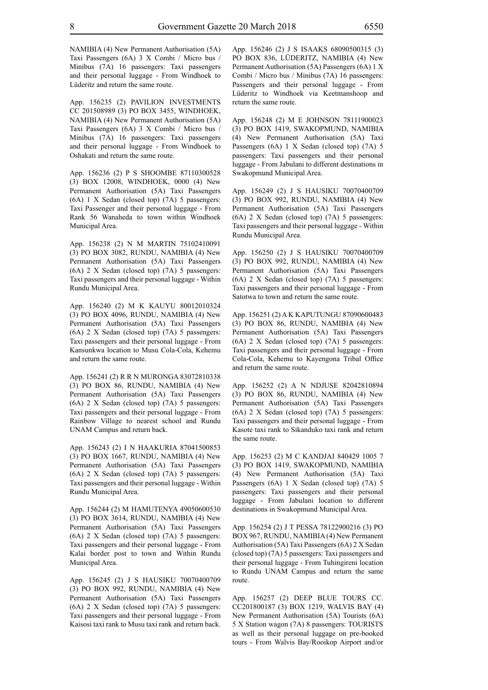NAMIBIA (4) New Permanent Authorisation (5A) Taxi Passengers (6A) 3 X Combi / Micro bus / Minibus (7A) 16 passengers: Taxi passengers and their personal luggage - From Windhoek to Lüderitz and return the same route.

App. 156235 (2) PAVILION INVESTMENTS CC 201508989 (3) PO BOX 3455, WINDHOEK, NAMIBIA (4) New Permanent Authorisation (5A) Taxi Passengers (6A) 3 X Combi / Micro bus / Minibus (7A) 16 passengers: Taxi passengers and their personal luggage - From Windhoek to Oshakati and return the same route.

App. 156236 (2) P S SHOOMBE 87110300528 (3) BOX 12008, WINDHOEK, 0000 (4) New Permanent Authorisation (5A) Taxi Passengers (6A) 1 X Sedan (closed top) (7A) 5 passengers: Taxi Passenger and their personal luggage - From Rank 56 Wanaheda to town within Windhoek Municipal Area.

App. 156238 (2) N M MARTIN 75102410091 (3) PO BOX 3082, RUNDU, NAMIBIA (4) New Permanent Authorisation (5A) Taxi Passengers (6A) 2 X Sedan (closed top) (7A) 5 passengers: Taxi passengers and their personal luggage - Within Rundu Municipal Area.

App. 156240 (2) M K KAUYU 80012010324 (3) PO BOX 4096, RUNDU, NAMIBIA (4) New Permanent Authorisation (5A) Taxi Passengers (6A) 2 X Sedan (closed top) (7A) 5 passengers: Taxi passengers and their personal luggage - From Kansunkwa location to Musu Cola-Cola, Kehemu and return the same route.

App. 156241 (2) R R N MURONGA 83072810338 (3) PO BOX 86, RUNDU, NAMIBIA (4) New Permanent Authorisation (5A) Taxi Passengers (6A) 2 X Sedan (closed top) (7A) 5 passengers: Taxi passengers and their personal luggage - From Rainbow Village to nearest school and Rundu UNAM Campus and return back.

App. 156243 (2) I N HAAKURIA 87041500853 (3) PO BOX 1667, RUNDU, NAMIBIA (4) New Permanent Authorisation (5A) Taxi Passengers (6A) 2 X Sedan (closed top) (7A) 5 passengers: Taxi passengers and their personal luggage - Within Rundu Municipal Area.

App. 156244 (2) M HAMUTENYA 49050600530 (3) PO BOX 3614, RUNDU, NAMIBIA (4) New Permanent Authorisation (5A) Taxi Passengers (6A) 2 X Sedan (closed top) (7A) 5 passengers: Taxi passengers and their personal luggage - From Kalai border post to town and Within Rundu Municipal Area.

App. 156245 (2) J S HAUSIKU 70070400709 (3) PO BOX 992, RUNDU, NAMIBIA (4) New Permanent Authorisation (5A) Taxi Passengers (6A) 2 X Sedan (closed top) (7A) 5 passengers: Taxi passengers and their personal luggage - From Kaisosi taxi rank to Musu taxi rank and return back. App. 156246 (2) J S ISAAKS 68090500315 (3) PO BOX 836, LÜDERITZ, NAMIBIA (4) New Permanent Authorisation (5A) Passengers (6A) 1 X Combi / Micro bus / Minibus (7A) 16 passengers: Passengers and their personal luggage - From Lüderitz to Windhoek via Keetmanshoop and return the same route.

App. 156248 (2) M E JOHNSON 78111900023 (3) PO BOX 1419, SWAKOPMUND, NAMIBIA (4) New Permanent Authorisation (5A) Taxi Passengers (6A) 1 X Sedan (closed top) (7A) 5 passengers: Taxi passengers and their personal luggage - From Jabulani to different destinations in Swakopmund Municipal Area.

App. 156249 (2) J S HAUSIKU 70070400709 (3) PO BOX 992, RUNDU, NAMIBIA (4) New Permanent Authorisation (5A) Taxi Passengers (6A) 2 X Sedan (closed top) (7A) 5 passengers: Taxi passengers and their personal luggage - Within Rundu Municipal Area.

App. 156250 (2) J S HAUSIKU 70070400709 (3) PO BOX 992, RUNDU, NAMIBIA (4) New Permanent Authorisation (5A) Taxi Passengers (6A) 2 X Sedan (closed top) (7A) 5 passengers: Taxi passengers and their personal luggage - From Satotwa to town and return the same route.

App. 156251 (2) A K KAPUTUNGU 87090600483 (3) PO BOX 86, RUNDU, NAMIBIA (4) New Permanent Authorisation (5A) Taxi Passengers (6A) 2 X Sedan (closed top) (7A) 5 passengers: Taxi passengers and their personal luggage - From Cola-Cola, Kehemu to Kayengona Tribal Office and return the same route.

App. 156252 (2) A N NDJUSE 82042810894 (3) PO BOX 86, RUNDU, NAMIBIA (4) New Permanent Authorisation (5A) Taxi Passengers (6A) 2 X Sedan (closed top) (7A) 5 passengers: Taxi passengers and their personal luggage - From Kasote taxi rank to Sikanduko taxi rank and return the same route.

App. 156253 (2) M C KANDJAI 840429 1005 7 (3) PO BOX 1419, SWAKOPMUND, NAMIBIA (4) New Permanent Authorisation (5A) Taxi Passengers (6A) 1 X Sedan (closed top) (7A) 5 passengers: Taxi passengers and their personal luggage - From Jabulani location to different destinations in Swakopmund Municipal Area.

App. 156254 (2) J T PESSA 78122900216 (3) PO BOX 967, RUNDU, NAMIBIA (4) New Permanent Authorisation (5A) Taxi Passengers (6A) 2 X Sedan (closed top) (7A) 5 passengers: Taxi passengers and their personal luggage - From Tuhingireni location to Rundu UNAM Campus and return the same route.

App. 156257 (2) DEEP BLUE TOURS CC. CC201800187 (3) BOX 1219, WALVIS BAY (4) New Permanent Authorisation (5A) Tourists (6A) 5 X Station wagon (7A) 8 passengers: TOURISTS as well as their personal luggage on pre-booked tours - From Walvis Bay/Rooikop Airport and/or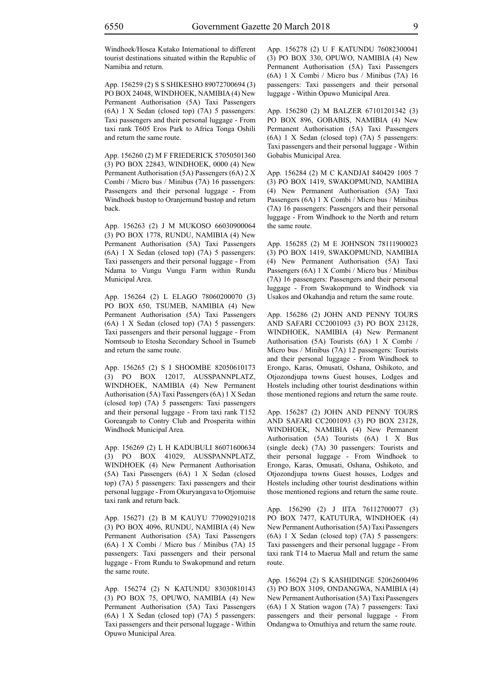Windhoek/Hosea Kutako International to different tourist destinations situated within the Republic of Namibia and return.

App. 156259 (2) S S SHIKESHO 89072700694 (3) PO BOX 24048, WINDHOEK, NAMIBIA (4) New Permanent Authorisation (5A) Taxi Passengers (6A) 1 X Sedan (closed top) (7A) 5 passengers: Taxi passengers and their personal luggage - From taxi rank T605 Eros Park to Africa Tonga Oshili and return the same route.

App. 156260 (2) M F FRIEDERICK 57050501360 (3) PO BOX 22843, WINDHOEK, 0000 (4) New Permanent Authorisation (5A) Passengers (6A) 2 X Combi / Micro bus / Minibus (7A) 16 passengers: Passengers and their personal luggage - From Windhoek bustop to Oranjemund bustop and return back.

App. 156263 (2) J M MUKOSO 66030900064 (3) PO BOX 1778, RUNDU, NAMIBIA (4) New Permanent Authorisation (5A) Taxi Passengers (6A) 1 X Sedan (closed top) (7A) 5 passengers: Taxi passengers and their personal luggage - From Ndama to Vungu Vungu Farm within Rundu Municipal Area.

App. 156264 (2) L ELAGO 78060200070 (3) PO BOX 650, TSUMEB, NAMIBIA (4) New Permanent Authorisation (5A) Taxi Passengers (6A) 1 X Sedan (closed top) (7A) 5 passengers: Taxi passengers and their personal luggage - From Nomtsoub to Etosha Secondary School in Tsumeb and return the same route.

App. 156265 (2) S I SHOOMBE 82050610173 (3) PO BOX 12017, AUSSPANNPLATZ, WINDHOEK, NAMIBIA (4) New Permanent Authorisation (5A) Taxi Passengers (6A) 1 X Sedan (closed top) (7A) 5 passengers: Taxi passengers and their personal luggage - From taxi rank T152 Goreangab to Contry Club and Prosperita within Windhoek Municipal Area.

App. 156269 (2) L H KADUBULI 86071600634 (3) PO BOX 41029, AUSSPANNPLATZ, WINDHOEK (4) New Permanent Authorisation (5A) Taxi Passengers (6A) 1 X Sedan (closed top) (7A) 5 passengers: Taxi passengers and their personal luggage - From Okuryangava to Otjomuise taxi rank and return back.

App. 156271 (2) B M KAUYU 770902910218 (3) PO BOX 4096, RUNDU, NAMIBIA (4) New Permanent Authorisation (5A) Taxi Passengers (6A) 1 X Combi / Micro bus / Minibus (7A) 15 passengers: Taxi passengers and their personal luggage - From Rundu to Swakopmund and return the same route.

App. 156274 (2) N KATUNDU 83030810143 (3) PO BOX 75, OPUWO, NAMIBIA (4) New Permanent Authorisation (5A) Taxi Passengers (6A) 1 X Sedan (closed top) (7A) 5 passengers: Taxi passengers and their personal luggage - Within Opuwo Municipal Area.

App. 156278 (2) U F KATUNDU 76082300041 (3) PO BOX 330, OPUWO, NAMIBIA (4) New Permanent Authorisation (5A) Taxi Passengers (6A) 1 X Combi / Micro bus / Minibus (7A) 16 passengers: Taxi passengers and their personal luggage - Within Opuwo Municipal Area.

App. 156280 (2) M BALZER 67101201342 (3) PO BOX 896, GOBABIS, NAMIBIA (4) New Permanent Authorisation (5A) Taxi Passengers (6A) 1 X Sedan (closed top) (7A) 5 passengers: Taxi passengers and their personal luggage - Within Gobabis Municipal Area.

App. 156284 (2) M C KANDJAI 840429 1005 7 (3) PO BOX 1419, SWAKOPMUND, NAMIBIA (4) New Permanent Authorisation (5A) Taxi Passengers (6A) 1 X Combi / Micro bus / Minibus (7A) 16 passengers: Passengers and their personal luggage - From Windhoek to the North and return the same route.

App. 156285 (2) M E JOHNSON 78111900023 (3) PO BOX 1419, SWAKOPMUND, NAMIBIA (4) New Permanent Authorisation (5A) Taxi Passengers (6A) 1 X Combi / Micro bus / Minibus (7A) 16 passengers: Passengers and their personal luggage - From Swakopmund to Windhoek via Usakos and Okahandja and return the same route.

App. 156286 (2) JOHN AND PENNY TOURS AND SAFARI CC2001093 (3) PO BOX 23128, WINDHOEK, NAMIBIA (4) New Permanent Authorisation (5A) Tourists (6A) 1 X Combi / Micro bus / Minibus (7A) 12 passengers: Tourists and their personal luggage - From Windhoek to Erongo, Karas, Omusati, Oshana, Oshikoto, and Otjozondjupa towns Guest houses, Lodges and Hostels including other tourist desdinations within those mentioned regions and return the same route.

App. 156287 (2) JOHN AND PENNY TOURS AND SAFARI CC2001093 (3) PO BOX 23128, WINDHOEK, NAMIBIA (4) New Permanent Authorisation (5A) Tourists (6A) 1 X Bus (single deck) (7A) 30 passengers: Tourists and their personal luggage - From Windhoek to Erongo, Karas, Omusati, Oshana, Oshikoto, and Otjozondjupa towns Guest houses, Lodges and Hostels including other tourist desdinations within those mentioned regions and return the same route.

App. 156290 (2) J IITA 76112700077 (3) PO BOX 7477, KATUTURA, WINDHOEK (4) New Permanent Authorisation (5A) Taxi Passengers (6A) 1 X Sedan (closed top) (7A) 5 passengers: Taxi passengers and their personal luggage - From taxi rank T14 to Maerua Mall and return the same route.

App. 156294 (2) S KASHIDINGE 52062600496 (3) PO BOX 3109, ONDANGWA, NAMIBIA (4) New Permanent Authorisation (5A) Taxi Passengers (6A) 1 X Station wagon (7A) 7 passengers: Taxi passengers and their personal luggage - From Ondangwa to Omuthiya and return the same route.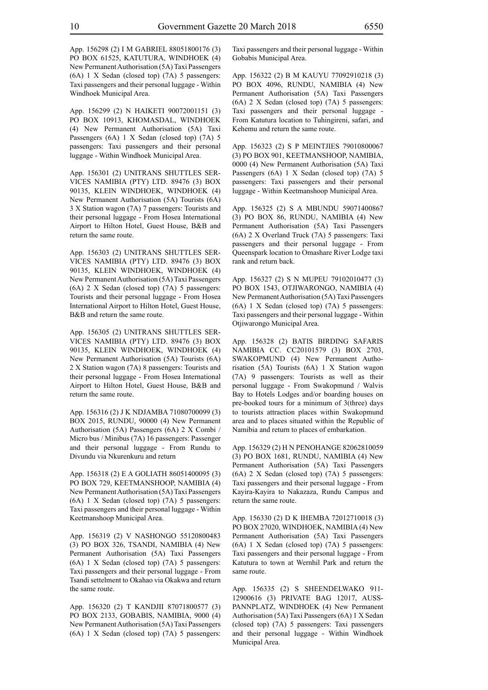App. 156298 (2) I M GABRIEL 88051800176 (3) PO BOX 61525, KATUTURA, WINDHOEK (4) New Permanent Authorisation (5A) Taxi Passengers (6A) 1 X Sedan (closed top) (7A) 5 passengers: Taxi passengers and their personal luggage - Within Windhoek Municipal Area.

App. 156299 (2) N HAIKETI 90072001151 (3) PO BOX 10913, KHOMASDAL, WINDHOEK (4) New Permanent Authorisation (5A) Taxi Passengers (6A) 1 X Sedan (closed top) (7A) 5 passengers: Taxi passengers and their personal luggage - Within Windhoek Municipal Area.

App. 156301 (2) UNITRANS SHUTTLES SER-VICES NAMIBIA (pty) LTD. 89476 (3) BOX 90135, KLEIN WINDHOEK, WINDHOEK (4) New Permanent Authorisation (5A) Tourists (6A) 3 X Station wagon (7A) 7 passengers: Tourists and their personal luggage - From Hosea International Airport to Hilton Hotel, Guest House, B&B and return the same route.

App. 156303 (2) UNITRANS SHUTTLES SER-VICES NAMIBIA (PTY) LTD. 89476 (3) BOX 90135, KLEIN WINDHOEK, WINDHOEK (4) New Permanent Authorisation (5A) Taxi Passengers (6A) 2 X Sedan (closed top) (7A) 5 passengers: Tourists and their personal luggage - From Hosea International Airport to Hilton Hotel, Guest House, B&B and return the same route.

App. 156305 (2) UNITRANS SHUTTLES SER-VICES NAMIBIA (PTY) LTD. 89476 (3) BOX 90135, KLEIN WINDHOEK, WINDHOEK (4) New Permanent Authorisation (5A) Tourists (6A) 2 X Station wagon (7A) 8 passengers: Tourists and their personal luggage - From Hosea International Airport to Hilton Hotel, Guest House, B&B and return the same route.

App. 156316 (2) J K NDJAMBA 71080700099 (3) BOX 2015, RUNDU, 90000 (4) New Permanent Authorisation (5A) Passengers (6A) 2 X Combi / Micro bus / Minibus (7A) 16 passengers: Passenger and their personal luggage - From Rundu to Divundu via Nkurenkuru and return

App. 156318 (2) E A GOLIATH 86051400095 (3) PO BOX 729, KEETMANSHOOP, NAMIBIA (4) New Permanent Authorisation (5A) Taxi Passengers (6A) 1 X Sedan (closed top) (7A) 5 passengers: Taxi passengers and their personal luggage - Within Keetmanshoop Municipal Area.

App. 156319 (2) V NASHONGO 55120800483 (3) PO BOX 326, TSANDI, NAMIBIA (4) New Permanent Authorisation (5A) Taxi Passengers (6A) 1 X Sedan (closed top) (7A) 5 passengers: Taxi passengers and their personal luggage - From Tsandi settelment to Okahao via Okakwa and return the same route.

App. 156320 (2) T KANDJII 87071800577 (3) PO BOX 2133, GOBABIS, NAMIBIA, 9000 (4) New Permanent Authorisation (5A) Taxi Passengers (6A) 1 X Sedan (closed top) (7A) 5 passengers: Taxi passengers and their personal luggage - Within Gobabis Municipal Area.

App. 156322 (2) B M KAUYU 77092910218 (3) PO BOX 4096, RUNDU, NAMIBIA (4) New Permanent Authorisation (5A) Taxi Passengers (6A) 2 X Sedan (closed top) (7A) 5 passengers: Taxi passengers and their personal luggage - From Katutura location to Tuhingireni, safari, and Kehemu and return the same route.

App. 156323 (2) S P MEINTJIES 79010800067 (3) PO BOX 901, KEETMANSHOOP, NAMIBIA, 0000 (4) New Permanent Authorisation (5A) Taxi Passengers (6A) 1 X Sedan (closed top) (7A) 5 passengers: Taxi passengers and their personal luggage - Within Keetmanshoop Municipal Area.

App. 156325 (2) S A MBUNDU 59071400867 (3) PO BOX 86, RUNDU, NAMIBIA (4) New Permanent Authorisation (5A) Taxi Passengers (6A) 2 X Overland Truck (7A) 5 passengers: Taxi passengers and their personal luggage - From Queenspark location to Omashare River Lodge taxi rank and return back.

App. 156327 (2) S N MUPEU 79102010477 (3) PO BOX 1543, OTJIWARONGO, NAMIBIA (4) New Permanent Authorisation (5A) Taxi Passengers (6A) 1 X Sedan (closed top) (7A) 5 passengers: Taxi passengers and their personal luggage - Within Otjiwarongo Municipal Area.

App. 156328 (2) BATIS BIRDING SAFARIS NAMIBIA CC. CC20101579 (3) BOX 2703, SWAKOPMUND (4) New Permanent Authorisation (5A) Tourists (6A) 1 X Station wagon (7A) 9 passengers: Tourists as well as their personal luggage - From Swakopmund / Walvis Bay to Hotels Lodges and/or boarding houses on pre-booked tours for a minimum of 3(three) days to tourists attraction places within Swakopmund area and to places situated within the Republic of Namibia and return to places of embarkation.

App. 156329 (2) H N PENOHANGE 82062810059 (3) PO BOX 1681, RUNDU, NAMIBIA (4) New Permanent Authorisation (5A) Taxi Passengers (6A) 2 X Sedan (closed top) (7A) 5 passengers: Taxi passengers and their personal luggage - From Kayira-Kayira to Nakazaza, Rundu Campus and return the same route.

App. 156330 (2) D K IHEMBA 72012710018 (3) PO BOX 27020, WINDHOEK, NAMIBIA (4) New Permanent Authorisation (5A) Taxi Passengers (6A) 1 X Sedan (closed top) (7A) 5 passengers: Taxi passengers and their personal luggage - From Katutura to town at Wernhil Park and return the same route.

App. 156335 (2) S SHEENDELWAKO 911- 12900616 (3) PRIVATE BAG 12017, AUSS-PANNPLATZ, WINDHOEK (4) New Permanent Authorisation (5A) Taxi Passengers (6A) 1 X Sedan (closed top) (7A) 5 passengers: Taxi passengers and their personal luggage - Within Windhoek Municipal Area.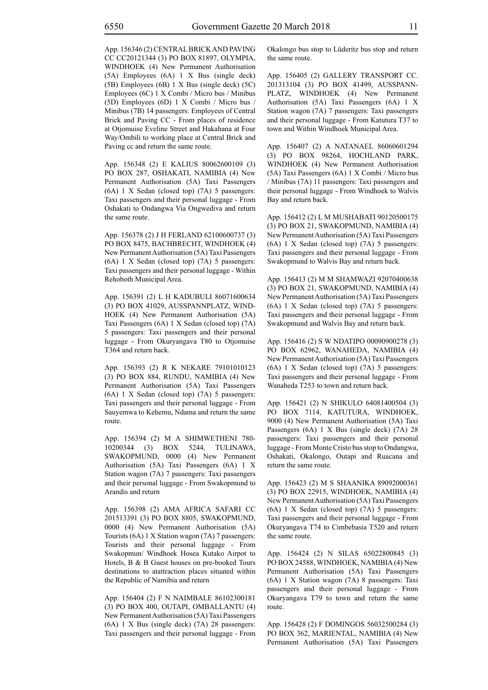App. 156346 (2) CENTRAL BRICK AND PAVING CC CC20121344 (3) PO BOX 81897, OLYMPIA, WINDHOEK (4) New Permanent Authorisation (5A) Employees (6A) 1 X Bus (single deck) (5B) Employees (6B) 1 X Bus (single deck) (5C) Employees (6C) 1 X Combi / Micro bus / Minibus (5D) Employees (6D) 1 X Combi / Micro bus / Minibus (7B) 14 passengers: Employees of Central Brick and Paving CC - From places of residence at Otjomuise Eveline Street and Hakahana at Four Way/Ombili to working place at Central Brick and Paving cc and return the same route.

App. 156348 (2) E KALIUS 80062600109 (3) PO BOX 287, OSHAKATI, NAMIBIA (4) New Permanent Authorisation (5A) Taxi Passengers (6A) 1 X Sedan (closed top) (7A) 5 passengers: Taxi passengers and their personal luggage - From Oshakati to Ondangwa Via Ongwediva and return the same route.

App. 156378 (2) J H FERLAND 62100600737 (3) PO BOX 8475, BACHBRECHT, WINDHOEK (4) New Permanent Authorisation (5A) Taxi Passengers (6A) 1 X Sedan (closed top) (7A) 5 passengers: Taxi passengers and their personal luggage - Within Rehoboth Municipal Area.

App. 156391 (2) L H KADUBULI 86071600634 (3) PO BOX 41029, AUSSPANNPLATZ, WIND-HOEK (4) New Permanent Authorisation (5A) Taxi Passengers (6A) 1 X Sedan (closed top) (7A) 5 passengers: Taxi passengers and their personal luggage - From Okuryangava T80 to Otjomuise T364 and return back.

App. 156393 (2) R K NEKARE 79101010123 (3) PO BOX 884, RUNDU, NAMIBIA (4) New Permanent Authorisation (5A) Taxi Passengers (6A) 1 X Sedan (closed top) (7A) 5 passengers: Taxi passengers and their personal luggage - From Sauyemwa to Kehemu, Ndama and return the same route.

App. 156394 (2) M A SHIMWETHENI 780- 10200344 (3) BOX 5244, TULINAWA, SWAKOPMUND, 0000 (4) New Permanent Authorisation (5A) Taxi Passengers (6A) 1 X Station wagon (7A) 7 passengers: Taxi passengers and their personal luggage - From Swakopmund to Arandis and return

App. 156398 (2) AMA AFRICA SAFARI CC 201513391 (3) PO BOX 8805, SWAKOPMUND, 0000 (4) New Permanent Authorisation (5A) Tourists (6A) 1 X Station wagon (7A) 7 passengers: Tourists and their personal luggage - From Swakopmun/ Windhoek Hosea Kutako Airpot to Hotels, B & B Guest houses on pre-booked Tours destinations to atattraction places situated within the Republic of Namibia and return

App. 156404 (2) F N NAIMBALE 86102300181 (3) PO BOX 400, OUTAPI, OMBALLANTU (4) New Permanent Authorisation (5A) Taxi Passengers (6A) 1 X Bus (single deck) (7A) 28 passengers: Taxi passengers and their personal luggage - From Okalongo bus stop to Lüderitz bus stop and return the same route.

App. 156405 (2) GALLERY TRANSPORT CC. 201313104 (3) PO BOX 41499, AUSSPANN-PLATZ, WINDHOEK (4) New Permanent Authorisation (5A) Taxi Passengers (6A) 1 X Station wagon (7A) 7 passengers: Taxi passengers and their personal luggage - From Katutura T37 to town and Within Windhoek Municipal Area.

App. 156407 (2) A NATANAEL 86060601294 (3) PO BOX 98264, HOCHLAND PARK, WINDHOEK (4) New Permanent Authorisation (5A) Taxi Passengers (6A) 1 X Combi / Micro bus / Minibus (7A) 11 passengers: Taxi passengers and their personal luggage - From Windhoek to Walvis Bay and return back.

App. 156412 (2) L M MUSHABATI 90120500175 (3) PO BOX 21, SWAKOPMUND, NAMIBIA (4) New Permanent Authorisation (5A) Taxi Passengers (6A) 1 X Sedan (closed top) (7A) 5 passengers: Taxi passengers and their personal luggage - From Swakopmund to Walvis Bay and return back.

App. 156413 (2) M M SHAMWAZI 92070400638 (3) PO BOX 21, SWAKOPMUND, NAMIBIA (4) New Permanent Authorisation (5A) Taxi Passengers (6A) 1 X Sedan (closed top) (7A) 5 passengers: Taxi passengers and their personal luggage - From Swakopmund and Walvis Bay and return back.

App. 156416 (2) S W NDATIPO 00090900278 (3) PO BOX 62962, WANAHEDA, NAMIBIA (4) New Permanent Authorisation (5A) Taxi Passengers (6A) 1 X Sedan (closed top) (7A) 5 passengers: Taxi passengers and their personal luggage - From Wanaheda T253 to town and return back.

App. 156421 (2) N SHIKULO 64081400504 (3) PO BOX 7114, KATUTURA, WINDHOEK, 9000 (4) New Permanent Authorisation (5A) Taxi Passengers (6A) 1 X Bus (single deck) (7A) 28 passengers: Taxi passengers and their personal luggage - From Monte Cristo bus stop to Ondangwa, Oshakati, Okalongo, Outapi and Ruacana and return the same route.

App. 156423 (2) M S SHAANIKA 89092000361 (3) PO BOX 22915, WINDHOEK, NAMIBIA (4) New Permanent Authorisation (5A) Taxi Passengers (6A) 1 X Sedan (closed top) (7A) 5 passengers: Taxi passengers and their personal luggage - From Okuryangava T74 to Cimbebasia T520 and return the same route.

App. 156424 (2) N SILAS 65022800845 (3) PO BOX 24588, WINDHOEK, NAMIBIA (4) New Permanent Authorisation (5A) Taxi Passengers (6A) 1 X Station wagon (7A) 8 passengers: Taxi passengers and their personal luggage - From Okuryangava T79 to town and return the same route.

App. 156428 (2) F DOMINGOS 56032500284 (3) PO BOX 362, MARIENTAL, NAMIBIA (4) New Permanent Authorisation (5A) Taxi Passengers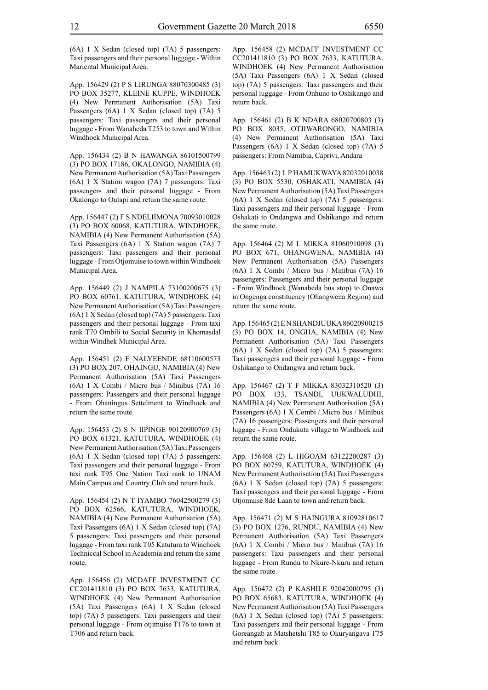(6A) 1 X Sedan (closed top) (7A) 5 passengers: Taxi passengers and their personal luggage - Within Mariental Municipal Area.

App. 156429 (2) P S LIRUNGA 88070300485 (3) PO BOX 35277, KLEINE KUPPE, WINDHOEK (4) New Permanent Authorisation (5A) Taxi Passengers (6A) 1 X Sedan (closed top) (7A) 5 passengers: Taxi passengers and their personal luggage - From Wanaheda T253 to town and Within Windhoek Municipal Area.

App. 156434 (2) B N HAWANGA 86101500799 (3) PO BOX 17186, OKALONGO, NAMIBIA (4) New Permanent Authorisation (5A) Taxi Passengers (6A) 1 X Station wagon (7A) 7 passengers: Taxi passengers and their personal luggage - From Okalongo to Outapi and return the same route.

App. 156447 (2) F S NDELIIMONA 70093010028 (3) PO BOX 60068, KATUTURA, WINDHOEK, NAMIBIA (4) New Permanent Authorisation (5A) Taxi Passengers (6A) 1 X Station wagon (7A) 7 passengers: Taxi passengers and their personal luggage - From Otjomuise to town within Windhoek Municipal Area.

App. 156449 (2) J NAMPILA 73100200675 (3) PO BOX 60761, KATUTURA, WINDHOEK (4) New Permanent Authorisation (5A) Taxi Passengers (6A) 1 X Sedan (closed top) (7A) 5 passengers: Taxi passengers and their personal luggage - From taxi rank T70 Ombili to Social Security in Khomasdal within Windhek Municipal Area.

App. 156451 (2) F NALYEENDE 68110600573 (3) PO BOX 207, OHAINGU, NAMIBIA (4) New Permanent Authorisation (5A) Taxi Passengers (6A) 1 X Combi / Micro bus / Minibus (7A) 16 passengers: Passengers and their personal luggage - From Ohaningus Settelment to Windhoek and return the same route.

App. 156453 (2) S N IIPINGE 90120900769 (3) PO BOX 61321, KATUTURA, WINDHOEK (4) New Permanent Authorisation (5A) Taxi Passengers (6A) 1 X Sedan (closed top) (7A) 5 passengers: Taxi passengers and their personal luggage - From taxi rank T95 One Nation Taxi rank to UNAM Main Campus and Country Club and return back.

App. 156454 (2) N T IYAMBO 76042500279 (3) PO BOX 62566, KATUTURA, WINDHOEK, NAMIBIA (4) New Permanent Authorisation (5A) Taxi Passengers (6A) 1 X Sedan (closed top) (7A) 5 passengers: Taxi passengers and their personal luggage - From taxi rank T05 Katutura to Winchoek Techniccal School in Academia and return the same route.

App. 156456 (2) MCDAFF INVESTMENT CC CC201411810 (3) PO BOX 7633, KATUTURA, WINDHOEK (4) New Permanent Authorisation (5A) Taxi Passengers (6A) 1 X Sedan (closed top) (7A) 5 passengers: Taxi passengers and their personal luggage - From otjimuise T176 to town at T706 and return back.

App. 156458 (2) MCDAFF INVESTMENT CC CC201411810 (3) PO BOX 7633, KATUTURA, WINDHOEK (4) New Permanent Authorisation (5A) Taxi Passengers (6A) 1 X Sedan (closed top) (7A) 5 passengers: Taxi passengers and their personal luggage - From Onhuno to Oshikango and return back.

App. 156461 (2) B K NDARA 68020700803 (3) PO BOX 8035, OTJIWARONGO, NAMIBIA (4) New Permanent Authorisation (5A) Taxi Passengers (6A) 1 X Sedan (closed top) (7A) 5 passengers: From Namibia, Caprivi, Andara

App. 156463 (2) L P HAMUKWAYA 82032010038 (3) PO BOX 5530, OSHAKATI, NAMIBIA (4) New Permanent Authorisation (5A) Taxi Passengers (6A) 1 X Sedan (closed top) (7A) 5 passengers: Taxi passengers and their personal luggage - From Oshakati to Ondangwa and Oshikango and return the same route.

App. 156464 (2) M L MIKKA 81060910098 (3) PO BOX 671, OHANGWENA, NAMIBIA (4) New Permanent Authorisation (5A) Passengers (6A) 1 X Combi / Micro bus / Minibus (7A) 16 passengers: Passengers and their personal luggage - From Windhoek (Wanaheda bus stop) to Onawa in Ongenga constituency (Ohangwena Region) and return the same route.

App. 156465 (2) E N SHANDJUUKA 86020900215 (3) PO BOX 14, ONGHA, NAMIBIA (4) New Permanent Authorisation (5A) Taxi Passengers (6A) 1 X Sedan (closed top) (7A) 5 passengers: Taxi passengers and their personal luggage - From Oshikango to Ondangwa and return back.

App. 156467 (2) T F MIKKA 83032310520 (3) PO BOX 133, TSANDI, UUKWALUDHI, NAMIBIA (4) New Permanent Authorisation (5A) Passengers (6A) 1 X Combi / Micro bus / Minibus (7A) 16 passengers: Passengers and their personal luggage - From Ondukuta village to Windhoek and return the same route.

App. 156468 (2) L HIGOAM 63122200287 (3) PO BOX 60759, KATUTURA, WINDHOEK (4) New Permanent Authorisation (5A) Taxi Passengers (6A) 1 X Sedan (closed top) (7A) 5 passengers: Taxi passengers and their personal luggage - From Otjomuise 8de Laan to town and return back.

App. 156471 (2) M S HAINGURA 81092810617 (3) PO BOX 1276, RUNDU, NAMIBIA (4) New Permanent Authorisation (5A) Taxi Passengers (6A) 1 X Combi / Micro bus / Minibus (7A) 16 passengers: Taxi passengers and their personal luggage - From Rundu to Nkure-Nkuru and return the same route.

App. 156472 (2) P KASHILE 92042000795 (3) PO BOX 65683, KATUTURA, WINDHOEK (4) New Permanent Authorisation (5A) Taxi Passengers (6A) 1 X Sedan (closed top) (7A) 5 passengers: Taxi passengers and their personal luggage - From Goreangab at Matshetshi T85 to Okuryangava T75 and return back.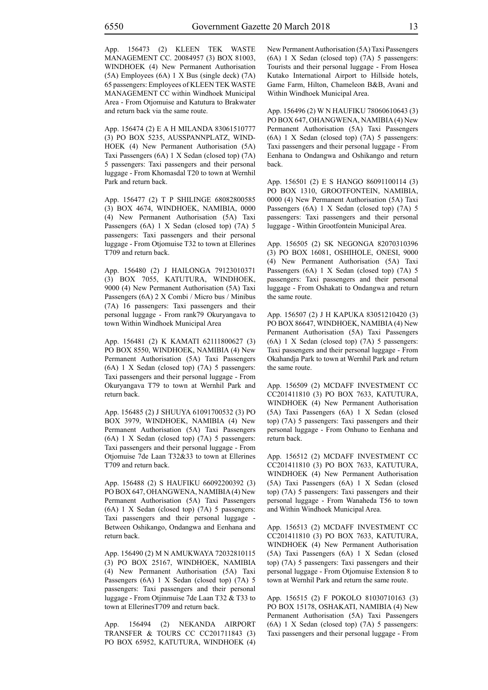App. 156473 (2) KLEEN TEK WASTE MANAGEMENT CC. 20084957 (3) BOX 81003, WINDHOEK (4) New Permanent Authorisation (5A) Employees (6A) 1 X Bus (single deck) (7A) 65 passengers: Employees of KLEEN TEK WASTE MANAGEMENT CC within Windhoek Municipal Area - From Otjomuise and Katutura to Brakwater and return back via the same route.

App. 156474 (2) E A H MILANDA 83061510777 (3) PO BOX 5235, AUSSPANNPLATZ, WIND-HOEK (4) New Permanent Authorisation (5A) Taxi Passengers (6A) 1 X Sedan (closed top) (7A) 5 passengers: Taxi passengers and their personal luggage - From Khomasdal T20 to town at Wernhil Park and return back.

App. 156477 (2) T P SHILINGE 68082800585 (3) BOX 4674, WINDHOEK, NAMIBIA, 0000 (4) New Permanent Authorisation (5A) Taxi Passengers (6A) 1 X Sedan (closed top) (7A) 5 passengers: Taxi passengers and their personal luggage - From Otjomuise T32 to town at Ellerines T709 and return back.

App. 156480 (2) J HAILONGA 79123010371 (3) BOX 7055, KATUTURA, WINDHOEK, 9000 (4) New Permanent Authorisation (5A) Taxi Passengers (6A) 2 X Combi / Micro bus / Minibus (7A) 16 passengers: Taxi passengers and their personal luggage - From rank79 Okuryangava to town Within Windhoek Municipal Area

App. 156481 (2) K KAMATI 62111800627 (3) PO BOX 8550, WINDHOEK, NAMIBIA (4) New Permanent Authorisation (5A) Taxi Passengers (6A) 1 X Sedan (closed top) (7A) 5 passengers: Taxi passengers and their personal luggage - From Okuryangava T79 to town at Wernhil Park and return back.

App. 156485 (2) J SHUUYA 61091700532 (3) PO BOX 3979, WINDHOEK, NAMIBIA (4) New Permanent Authorisation (5A) Taxi Passengers (6A) 1 X Sedan (closed top) (7A) 5 passengers: Taxi passengers and their personal luggage - From Otjomuise 7de Laan T32&33 to town at Ellerines T709 and return back.

App. 156488 (2) S HAUFIKU 66092200392 (3) PO BOX 647, OHANGWENA, NAMIBIA (4) New Permanent Authorisation (5A) Taxi Passengers (6A) 1 X Sedan (closed top) (7A) 5 passengers: Taxi passengers and their personal luggage - Between Oshikango, Ondangwa and Eenhana and return back.

App. 156490 (2) M N AMUKWAYA 72032810115 (3) PO BOX 25167, WINDHOEK, NAMIBIA (4) New Permanent Authorisation (5A) Taxi Passengers (6A) 1 X Sedan (closed top) (7A) 5 passengers: Taxi passengers and their personal luggage - From Otjinmuise 7de Laan T32 & T33 to town at EllerinesT709 and return back.

App. 156494 (2) NEKANDA AIRPORT TRANSFER & TOURS CC CC201711843 (3) PO BOX 65952, KATUTURA, WINDHOEK (4) New Permanent Authorisation (5A) Taxi Passengers (6A) 1 X Sedan (closed top) (7A) 5 passengers: Tourists and their personal luggage - From Hosea Kutako International Airport to Hillside hotels, Game Farm, Hilton, Chameleon B&B, Avani and Within Windhoek Municipal Area.

App. 156496 (2) W N HAUFIKU 78060610643 (3) PO BOX 647, OHANGWENA, NAMIBIA (4) New Permanent Authorisation (5A) Taxi Passengers (6A) 1 X Sedan (closed top) (7A) 5 passengers: Taxi passengers and their personal luggage - From Eenhana to Ondangwa and Oshikango and return back.

App. 156501 (2) E S HANGO 86091100114 (3) PO BOX 1310, GROOTFONTEIN, NAMIBIA, 0000 (4) New Permanent Authorisation (5A) Taxi Passengers (6A) 1 X Sedan (closed top) (7A) 5 passengers: Taxi passengers and their personal luggage - Within Grootfontein Municipal Area.

App. 156505 (2) SK NEGONGA 82070310396 (3) PO BOX 16081, OSHIHOLE, ONESI, 9000 (4) New Permanent Authorisation (5A) Taxi Passengers (6A) 1 X Sedan (closed top) (7A) 5 passengers: Taxi passengers and their personal luggage - From Oshakati to Ondangwa and return the same route.

App. 156507 (2) J H KAPUKA 83051210420 (3) PO BOX 86647, WINDHOEK, NAMIBIA (4) New Permanent Authorisation (5A) Taxi Passengers (6A) 1 X Sedan (closed top) (7A) 5 passengers: Taxi passengers and their personal luggage - From Okahandja Park to town at Wernhil Park and return the same route.

App. 156509 (2) MCDAFF INVESTMENT CC CC201411810 (3) PO BOX 7633, KATUTURA, WINDHOEK (4) New Permanent Authorisation (5A) Taxi Passengers (6A) 1 X Sedan (closed top) (7A) 5 passengers: Taxi passengers and their personal luggage - From Onhuno to Eenhana and return back.

App. 156512 (2) MCDAFF INVESTMENT CC CC201411810 (3) PO BOX 7633, KATUTURA, WINDHOEK (4) New Permanent Authorisation (5A) Taxi Passengers (6A) 1 X Sedan (closed top) (7A) 5 passengers: Taxi passengers and their personal luggage - From Wanaheda T56 to town and Within Windhoek Municipal Area.

App. 156513 (2) MCDAFF INVESTMENT CC CC201411810 (3) PO BOX 7633, KATUTURA, WINDHOEK (4) New Permanent Authorisation (5A) Taxi Passengers (6A) 1 X Sedan (closed top) (7A) 5 passengers: Taxi passengers and their personal luggage - From Otjomuise Extension 8 to town at Wernhil Park and return the same route.

App. 156515 (2) F POKOLO 81030710163 (3) PO BOX 15178, OSHAKATI, NAMIBIA (4) New Permanent Authorisation (5A) Taxi Passengers (6A) 1 X Sedan (closed top) (7A) 5 passengers: Taxi passengers and their personal luggage - From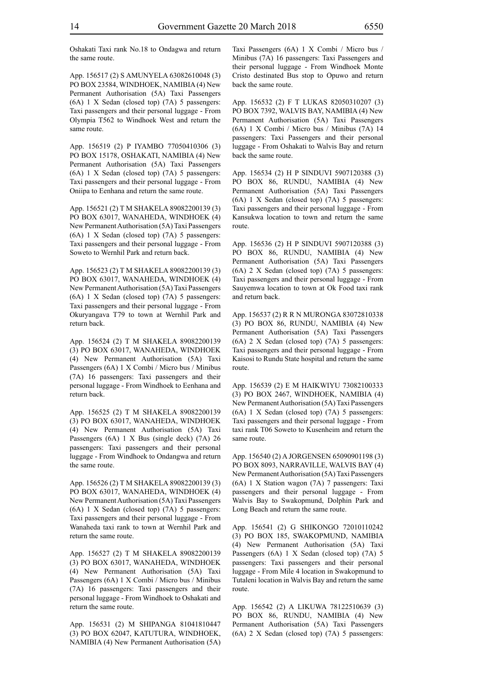Oshakati Taxi rank No.18 to Ondagwa and return the same route.

App. 156517 (2) S AMUNYELA 63082610048 (3) PO BOX 23584, WINDHOEK, NAMIBIA (4) New Permanent Authorisation (5A) Taxi Passengers (6A) 1 X Sedan (closed top) (7A) 5 passengers: Taxi passengers and their personal luggage - From Olympia T562 to Windhoek West and return the same route.

App. 156519 (2) P IYAMBO 77050410306 (3) PO BOX 15178, OSHAKATI, NAMIBIA (4) New Permanent Authorisation (5A) Taxi Passengers (6A) 1 X Sedan (closed top) (7A) 5 passengers: Taxi passengers and their personal luggage - From Oniipa to Eenhana and return the same route.

App. 156521 (2) T M SHAKELA 89082200139 (3) PO BOX 63017, WANAHEDA, WINDHOEK (4) New Permanent Authorisation (5A) Taxi Passengers (6A) 1 X Sedan (closed top) (7A) 5 passengers: Taxi passengers and their personal luggage - From Soweto to Wernhil Park and return back.

App. 156523 (2) T M SHAKELA 89082200139 (3) PO BOX 63017, WANAHEDA, WINDHOEK (4) New Permanent Authorisation (5A) Taxi Passengers (6A) 1 X Sedan (closed top) (7A) 5 passengers: Taxi passengers and their personal luggage - From Okuryangava T79 to town at Wernhil Park and return back.

App. 156524 (2) T M SHAKELA 89082200139 (3) PO BOX 63017, WANAHEDA, WINDHOEK (4) New Permanent Authorisation (5A) Taxi Passengers (6A) 1 X Combi / Micro bus / Minibus (7A) 16 passengers: Taxi passengers and their personal luggage - From Windhoek to Eenhana and return back.

App. 156525 (2) T M SHAKELA 89082200139 (3) PO BOX 63017, WANAHEDA, WINDHOEK (4) New Permanent Authorisation (5A) Taxi Passengers (6A) 1 X Bus (single deck) (7A) 26 passengers: Taxi passengers and their personal luggage - From Windhoek to Ondangwa and return the same route.

App. 156526 (2) T M SHAKELA 89082200139 (3) PO BOX 63017, WANAHEDA, WINDHOEK (4) New Permanent Authorisation (5A) Taxi Passengers (6A) 1 X Sedan (closed top) (7A) 5 passengers: Taxi passengers and their personal luggage - From Wanaheda taxi rank to town at Wernhil Park and return the same route.

App. 156527 (2) T M SHAKELA 89082200139 (3) PO BOX 63017, WANAHEDA, WINDHOEK (4) New Permanent Authorisation (5A) Taxi Passengers (6A) 1 X Combi / Micro bus / Minibus (7A) 16 passengers: Taxi passengers and their personal luggage - From Windhoek to Oshakati and return the same route.

App. 156531 (2) M SHIPANGA 81041810447 (3) PO BOX 62047, KATUTURA, WINDHOEK, NAMIBIA (4) New Permanent Authorisation (5A) Taxi Passengers (6A) 1 X Combi / Micro bus / Minibus (7A) 16 passengers: Taxi Passengers and their personal luggage - From Windhoek Monte Cristo destinated Bus stop to Opuwo and return back the same route.

App. 156532 (2) F T LUKAS 82050310207 (3) PO BOX 7392, WALVIS BAY, NAMIBIA (4) New Permanent Authorisation (5A) Taxi Passengers (6A) 1 X Combi / Micro bus / Minibus (7A) 14 passengers: Taxi Passengers and their personal luggage - From Oshakati to Walvis Bay and return back the same route.

App. 156534 (2) H P SINDUVI 5907120388 (3) PO BOX 86, RUNDU, NAMIBIA (4) New Permanent Authorisation (5A) Taxi Passengers (6A) 1 X Sedan (closed top) (7A) 5 passengers: Taxi passengers and their personal luggage - From Kansukwa location to town and return the same route.

App. 156536 (2) H P SINDUVI 5907120388 (3) PO BOX 86, RUNDU, NAMIBIA (4) New Permanent Authorisation (5A) Taxi Passengers (6A) 2 X Sedan (closed top) (7A) 5 passengers: Taxi passengers and their personal luggage - From Sauyemwa location to town at Ok Food taxi rank and return back.

App. 156537 (2) R R N MURONGA 83072810338 (3) PO BOX 86, RUNDU, NAMIBIA (4) New Permanent Authorisation (5A) Taxi Passengers (6A) 2 X Sedan (closed top) (7A) 5 passengers: Taxi passengers and their personal luggage - From Kaisosi to Rundu State hospital and return the same route.

App. 156539 (2) E M HAIKWIYU 73082100333 (3) PO BOX 2467, WINDHOEK, NAMIBIA (4) New Permanent Authorisation (5A) Taxi Passengers (6A) 1 X Sedan (closed top) (7A) 5 passengers: Taxi passengers and their personal luggage - From taxi rank T06 Soweto to Kusenheim and return the same route.

App. 156540 (2) A JORGENSEN 65090901198 (3) PO BOX 8093, NARRAVILLE, WALVIS BAY (4) New Permanent Authorisation (5A) Taxi Passengers (6A) 1 X Station wagon (7A) 7 passengers: Taxi passengers and their personal luggage - From Walvis Bay to Swakopmund, Dolphin Park and Long Beach and return the same route.

App. 156541 (2) G SHIKONGO 72010110242 (3) PO BOX 185, SWAKOPMUND, NAMIBIA (4) New Permanent Authorisation (5A) Taxi Passengers (6A) 1 X Sedan (closed top) (7A) 5 passengers: Taxi passengers and their personal luggage - From Mile 4 location in Swakopmund to Tutaleni location in Walvis Bay and return the same route.

App. 156542 (2) A LIKUWA 78122510639 (3) PO BOX 86, RUNDU, NAMIBIA (4) New Permanent Authorisation (5A) Taxi Passengers (6A) 2 X Sedan (closed top) (7A) 5 passengers: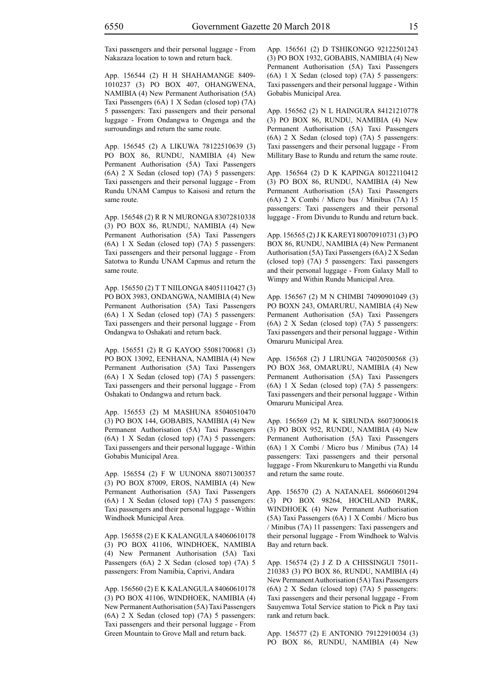Taxi passengers and their personal luggage - From Nakazaza location to town and return back.

App. 156544 (2) H H SHAHAMANGE 8409- 1010237 (3) PO BOX 407, OHANGWENA, NAMIBIA (4) New Permanent Authorisation (5A) Taxi Passengers (6A) 1 X Sedan (closed top) (7A) 5 passengers: Taxi passengers and their personal luggage - From Ondangwa to Ongenga and the surroundings and return the same route.

App. 156545 (2) A LIKUWA 78122510639 (3) PO BOX 86, RUNDU, NAMIBIA (4) New Permanent Authorisation (5A) Taxi Passengers (6A) 2 X Sedan (closed top) (7A) 5 passengers: Taxi passengers and their personal luggage - From Rundu UNAM Campus to Kaisosi and return the same route.

App. 156548 (2) R R N MURONGA 83072810338 (3) PO BOX 86, RUNDU, NAMIBIA (4) New Permanent Authorisation (5A) Taxi Passengers (6A) 1 X Sedan (closed top) (7A) 5 passengers: Taxi passengers and their personal luggage - From Satotwa to Rundu UNAM Capmus and return the same route.

App. 156550 (2) T T NIILONGA 84051110427 (3) PO BOX 3983, ONDANGWA, NAMIBIA (4) New Permanent Authorisation (5A) Taxi Passengers (6A) 1 X Sedan (closed top) (7A) 5 passengers: Taxi passengers and their personal luggage - From Ondangwa to Oshakati and return back.

App. 156551 (2) R G KAYOO 55081700681 (3) PO BOX 13092, EENHANA, NAMIBIA (4) New Permanent Authorisation (5A) Taxi Passengers (6A) 1 X Sedan (closed top) (7A) 5 passengers: Taxi passengers and their personal luggage - From Oshakati to Ondangwa and return back.

App. 156553 (2) M MASHUNA 85040510470 (3) PO BOX 144, GOBABIS, NAMIBIA (4) New Permanent Authorisation (5A) Taxi Passengers (6A) 1 X Sedan (closed top) (7A) 5 passengers: Taxi passengers and their personal luggage - Within Gobabis Municipal Area.

App. 156554 (2) F W UUNONA 88071300357 (3) PO BOX 87009, EROS, NAMIBIA (4) New Permanent Authorisation (5A) Taxi Passengers (6A) 1 X Sedan (closed top) (7A) 5 passengers: Taxi passengers and their personal luggage - Within Windhoek Municipal Area.

App. 156558 (2) E K KALANGULA 84060610178 (3) PO BOX 41106, WINDHOEK, NAMIBIA (4) New Permanent Authorisation (5A) Taxi Passengers (6A) 2 X Sedan (closed top) (7A) 5 passengers: From Namibia, Caprivi, Andara

App. 156560 (2) E K KALANGULA 84060610178 (3) PO BOX 41106, WINDHOEK, NAMIBIA (4) New Permanent Authorisation (5A) Taxi Passengers (6A) 2 X Sedan (closed top) (7A) 5 passengers: Taxi passengers and their personal luggage - From Green Mountain to Grove Mall and return back.

App. 156561 (2) D TSHIKONGO 92122501243 (3) PO BOX 1932, GOBABIS, NAMIBIA (4) New Permanent Authorisation (5A) Taxi Passengers (6A) 1 X Sedan (closed top) (7A) 5 passengers: Taxi passengers and their personal luggage - Within Gobabis Municipal Area.

App. 156562 (2) N L HAINGURA 84121210778 (3) PO BOX 86, RUNDU, NAMIBIA (4) New Permanent Authorisation (5A) Taxi Passengers (6A) 2 X Sedan (closed top) (7A) 5 passengers: Taxi passengers and their personal luggage - From Millitary Base to Rundu and return the same route.

App. 156564 (2) D K KAPINGA 80122110412 (3) PO BOX 86, RUNDU, NAMIBIA (4) New Permanent Authorisation (5A) Taxi Passengers (6A) 2 X Combi / Micro bus / Minibus (7A) 15 passengers: Taxi passengers and their personal luggage - From Divundu to Rundu and return back.

App. 156565 (2) J K KAREYI 80070910731 (3) PO BOX 86, RUNDU, NAMIBIA (4) New Permanent Authorisation (5A) Taxi Passengers (6A) 2 X Sedan (closed top) (7A) 5 passengers: Taxi passengers and their personal luggage - From Galaxy Mall to Wimpy and Within Rundu Municipal Area.

App. 156567 (2) M N CHIMBI 74090901049 (3) PO BOXN 243, OMARURU, NAMIBIA (4) New Permanent Authorisation (5A) Taxi Passengers (6A) 2 X Sedan (closed top) (7A) 5 passengers: Taxi passengers and their personal luggage - Within Omaruru Municipal Area.

App. 156568 (2) J LIRUNGA 74020500568 (3) PO BOX 368, OMARURU, NAMIBIA (4) New Permanent Authorisation (5A) Taxi Passengers (6A) 1 X Sedan (closed top) (7A) 5 passengers: Taxi passengers and their personal luggage - Within Omaruru Municipal Area.

App. 156569 (2) M K SIRUNDA 86073000618 (3) PO BOX 952, RUNDU, NAMIBIA (4) New Permanent Authorisation (5A) Taxi Passengers (6A) 1 X Combi / Micro bus / Minibus (7A) 14 passengers: Taxi passengers and their personal luggage - From Nkurenkuru to Mangethi via Rundu and return the same route.

App. 156570 (2) A NATANAEL 86060601294 (3) PO BOX 98264, HOCHLAND PARK, WINDHOEK (4) New Permanent Authorisation (5A) Taxi Passengers (6A) 1 X Combi / Micro bus / Minibus (7A) 11 passengers: Taxi passengers and their personal luggage - From Windhoek to Walvis Bay and return back.

App. 156574 (2) J Z D A CHISSINGUI 75011- 210383 (3) PO BOX 86, RUNDU, NAMIBIA (4) New Permanent Authorisation (5A) Taxi Passengers (6A) 2 X Sedan (closed top) (7A) 5 passengers: Taxi passengers and their personal luggage - From Sauyemwa Total Service station to Pick n Pay taxi rank and return back.

App. 156577 (2) E ANTONIO 79122910034 (3) PO BOX 86, RUNDU, NAMIBIA (4) New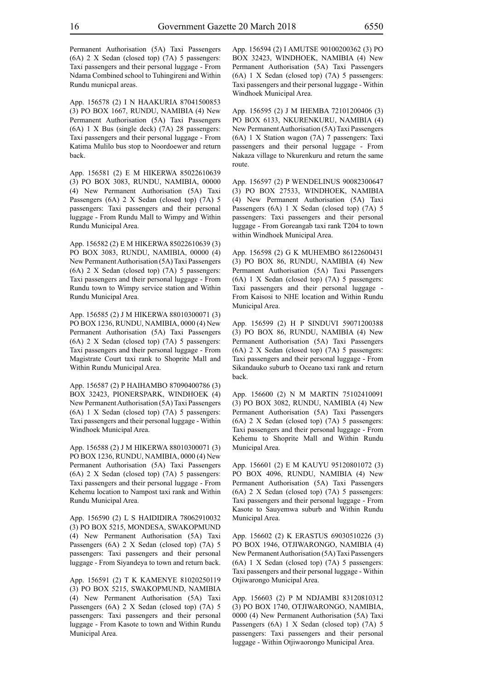Permanent Authorisation (5A) Taxi Passengers (6A) 2 X Sedan (closed top) (7A) 5 passengers: Taxi passengers and their personal luggage - From Ndama Combined school to Tuhingireni and Within Rundu municpal areas.

App. 156578 (2) I N HAAKURIA 87041500853 (3) PO BOX 1667, RUNDU, NAMIBIA (4) New Permanent Authorisation (5A) Taxi Passengers (6A) 1 X Bus (single deck) (7A) 28 passengers: Taxi passengers and their personal luggage - From Katima Mulilo bus stop to Noordoewer and return back.

App. 156581 (2) E M HIKERWA 85022610639 (3) PO BOX 3083, RUNDU, NAMIBIA, 00000 (4) New Permanent Authorisation (5A) Taxi Passengers (6A) 2 X Sedan (closed top) (7A) 5 passengers: Taxi passengers and their personal luggage - From Rundu Mall to Wimpy and Within Rundu Municipal Area.

App. 156582 (2) E M HIKERWA 85022610639 (3) PO BOX 3083, RUNDU, NAMIBIA, 00000 (4) New Permanent Authorisation (5A) Taxi Passengers (6A) 2 X Sedan (closed top) (7A) 5 passengers: Taxi passengers and their personal luggage - From Rundu town to Wimpy service station and Within Rundu Municipal Area.

App. 156585 (2) J M HIKERWA 88010300071 (3) PO BOX 1236, RUNDU, NAMIBIA, 0000 (4) New Permanent Authorisation (5A) Taxi Passengers (6A) 2 X Sedan (closed top) (7A) 5 passengers: Taxi passengers and their personal luggage - From Magistrate Court taxi rank to Shoprite Mall and Within Rundu Municipal Area.

App. 156587 (2) P HAIHAMBO 87090400786 (3) BOX 32423, PIONERSPARK, WINDHOEK (4) New Permanent Authorisation (5A) Taxi Passengers (6A) 1 X Sedan (closed top) (7A) 5 passengers: Taxi passengers and their personal luggage - Within Windhoek Municipal Area.

App. 156588 (2) J M HIKERWA 88010300071 (3) PO BOX 1236, RUNDU, NAMIBIA, 0000 (4) New Permanent Authorisation (5A) Taxi Passengers (6A) 2 X Sedan (closed top) (7A) 5 passengers: Taxi passengers and their personal luggage - From Kehemu location to Nampost taxi rank and Within Rundu Municipal Area.

App. 156590 (2) L S HAIDIDIRA 78062910032 (3) PO BOX 5215, MONDESA, SWAKOPMUND (4) New Permanent Authorisation (5A) Taxi Passengers (6A) 2 X Sedan (closed top) (7A) 5 passengers: Taxi passengers and their personal luggage - From Siyandeya to town and return back.

App. 156591 (2) T K KAMENYE 81020250119 (3) PO BOX 5215, SWAKOPMUND, NAMIBIA (4) New Permanent Authorisation (5A) Taxi Passengers (6A) 2 X Sedan (closed top) (7A) 5 passengers: Taxi passengers and their personal luggage - From Kasote to town and Within Rundu Municipal Area.

App. 156594 (2) I AMUTSE 90100200362 (3) PO BOX 32423, WINDHOEK, NAMIBIA (4) New Permanent Authorisation (5A) Taxi Passengers (6A) 1 X Sedan (closed top) (7A) 5 passengers: Taxi passengers and their personal luggage - Within Windhoek Municipal Area.

App. 156595 (2) J M IHEMBA 72101200406 (3) PO BOX 6133, NKURENKURU, NAMIBIA (4) New Permanent Authorisation (5A) Taxi Passengers (6A) 1 X Station wagon (7A) 7 passengers: Taxi passengers and their personal luggage - From Nakaza village to Nkurenkuru and return the same route.

App. 156597 (2) P WENDELINUS 90082300647 (3) PO BOX 27533, WINDHOEK, NAMIBIA (4) New Permanent Authorisation (5A) Taxi Passengers (6A) 1 X Sedan (closed top) (7A) 5 passengers: Taxi passengers and their personal luggage - From Goreangab taxi rank T204 to town within Windhoek Municipal Area.

App. 156598 (2) G K MUHEMBO 86122600431 (3) PO BOX 86, RUNDU, NAMIBIA (4) New Permanent Authorisation (5A) Taxi Passengers (6A) 1 X Sedan (closed top) (7A) 5 passengers: Taxi passengers and their personal luggage - From Kaisosi to NHE location and Within Rundu Municipal Area.

App. 156599 (2) H P SINDUVI 59071200388 (3) PO BOX 86, RUNDU, NAMIBIA (4) New Permanent Authorisation (5A) Taxi Passengers (6A) 2 X Sedan (closed top) (7A) 5 passengers: Taxi passengers and their personal luggage - From Sikandauko suburb to Oceano taxi rank and return back.

App. 156600 (2) N M MARTIN 75102410091 (3) PO BOX 3082, RUNDU, NAMIBIA (4) New Permanent Authorisation (5A) Taxi Passengers (6A) 2 X Sedan (closed top) (7A) 5 passengers: Taxi passengers and their personal luggage - From Kehemu to Shoprite Mall and Within Rundu Municipal Area.

App. 156601 (2) E M KAUYU 95120801072 (3) PO BOX 4096, RUNDU, NAMIBIA (4) New Permanent Authorisation (5A) Taxi Passengers (6A) 2 X Sedan (closed top) (7A) 5 passengers: Taxi passengers and their personal luggage - From Kasote to Sauyemwa suburb and Within Rundu Municipal Area.

App. 156602 (2) K ERASTUS 69030510226 (3) PO BOX 1946, OTJIWARONGO, NAMIBIA (4) New Permanent Authorisation (5A) Taxi Passengers (6A) 1 X Sedan (closed top) (7A) 5 passengers: Taxi passengers and their personal luggage - Within Otjiwarongo Municipal Area.

App. 156603 (2) P M NDJAMBI 83120810312 (3) PO BOX 1740, OTJIWARONGO, NAMIBIA, 0000 (4) New Permanent Authorisation (5A) Taxi Passengers (6A) 1 X Sedan (closed top) (7A) 5 passengers: Taxi passengers and their personal luggage - Within Otjiwaorongo Municipal Area.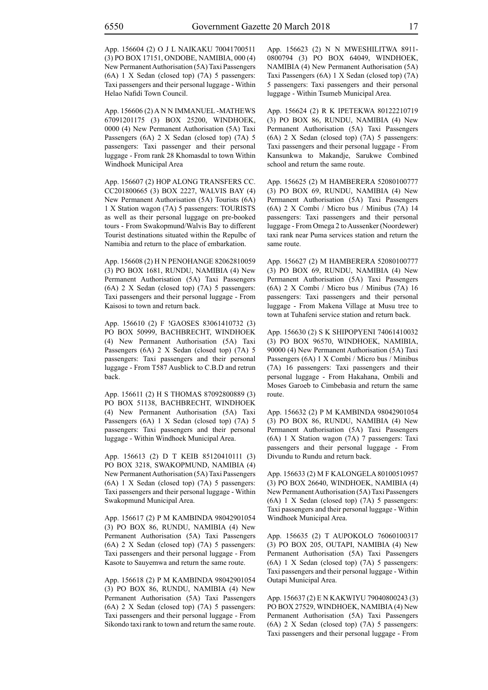App. 156604 (2) O J L NAIKAKU 70041700511 (3) PO BOX 17151, ONDOBE, NAMIBIA, 000 (4) New Permanent Authorisation (5A) Taxi Passengers (6A) 1 X Sedan (closed top) (7A) 5 passengers: Taxi passengers and their personal luggage - Within Helao Nafidi Town Council.

App. 156606 (2) A N N IMMANUEL -MATHEWS 67091201175 (3) BOX 25200, WINDHOEK, 0000 (4) New Permanent Authorisation (5A) Taxi Passengers (6A) 2 X Sedan (closed top) (7A) 5 passengers: Taxi passenger and their personal luggage - From rank 28 Khomasdal to town Within Windhoek Municipal Area

App. 156607 (2) HOP ALONG TRANSFERS CC. CC201800665 (3) BOX 2227, WALVIS BAY (4) New Permanent Authorisation (5A) Tourists (6A) 1 X Station wagon (7A) 5 passengers: TOURISTS as well as their personal luggage on pre-booked tours - From Swakopmund/Walvis Bay to different Tourist destinations situated within the Repulbc of Namibia and return to the place of embarkation.

App. 156608 (2) H N PENOHANGE 82062810059 (3) PO BOX 1681, RUNDU, NAMIBIA (4) New Permanent Authorisation (5A) Taxi Passengers (6A) 2 X Sedan (closed top) (7A) 5 passengers: Taxi passengers and their personal luggage - From Kaisosi to town and return back.

App. 156610 (2) F !GAOSES 83061410732 (3) PO BOX 50999, BACHBRECHT, WINDHOEK (4) New Permanent Authorisation (5A) Taxi Passengers (6A) 2 X Sedan (closed top) (7A) 5 passengers: Taxi passengers and their personal luggage - From T587 Ausblick to C.B.D and retrun back.

App. 156611 (2) H S THOMAS 87092800889 (3) PO BOX 51138, BACHBRECHT, WINDHOEK (4) New Permanent Authorisation (5A) Taxi Passengers (6A) 1 X Sedan (closed top) (7A) 5 passengers: Taxi passengers and their personal luggage - Within Windhoek Municipal Area.

App. 156613 (2) D T KEIB 85120410111 (3) PO BOX 3218, SWAKOPMUND, NAMIBIA (4) New Permanent Authorisation (5A) Taxi Passengers (6A) 1 X Sedan (closed top) (7A) 5 passengers: Taxi passengers and their personal luggage - Within Swakopmund Municipal Area.

App. 156617 (2) P M KAMBINDA 98042901054 (3) PO BOX 86, RUNDU, NAMIBIA (4) New Permanent Authorisation (5A) Taxi Passengers (6A) 2 X Sedan (closed top) (7A) 5 passengers: Taxi passengers and their personal luggage - From Kasote to Sauyemwa and return the same route.

App. 156618 (2) P M KAMBINDA 98042901054 (3) PO BOX 86, RUNDU, NAMIBIA (4) New Permanent Authorisation (5A) Taxi Passengers (6A) 2 X Sedan (closed top) (7A) 5 passengers: Taxi passengers and their personal luggage - From Sikondo taxi rank to town and return the same route. App. 156623 (2) N N MWESHILITWA 8911- 0800794 (3) PO BOX 64049, WINDHOEK, NAMIBIA (4) New Permanent Authorisation (5A) Taxi Passengers (6A) 1 X Sedan (closed top) (7A) 5 passengers: Taxi passengers and their personal luggage - Within Tsumeb Municipal Area.

App. 156624 (2) R K IPETEKWA 80122210719 (3) PO BOX 86, RUNDU, NAMIBIA (4) New Permanent Authorisation (5A) Taxi Passengers (6A) 2 X Sedan (closed top) (7A) 5 passengers: Taxi passengers and their personal luggage - From Kansunkwa to Makandje, Sarukwe Combined school and return the same route.

App. 156625 (2) M HAMBERERA 52080100777 (3) PO BOX 69, RUNDU, NAMIBIA (4) New Permanent Authorisation (5A) Taxi Passengers (6A) 2 X Combi / Micro bus / Minibus (7A) 14 passengers: Taxi passengers and their personal luggage - From Omega 2 to Aussenker (Noordewer) taxi rank near Puma services station and return the same route.

App. 156627 (2) M HAMBERERA 52080100777 (3) PO BOX 69, RUNDU, NAMIBIA (4) New Permanent Authorisation (5A) Taxi Passengers (6A) 2 X Combi / Micro bus / Minibus (7A) 16 passengers: Taxi passengers and their personal luggage - From Makena Village at Musu tree to town at Tuhafeni service station and return back.

App. 156630 (2) S K SHIPOPYENI 74061410032 (3) PO BOX 96570, WINDHOEK, NAMIBIA, 90000 (4) New Permanent Authorisation (5A) Taxi Passengers (6A) 1 X Combi / Micro bus / Minibus (7A) 16 passengers: Taxi passengers and their personal luggage - From Hakahana, Ombili and Moses Garoeb to Cimbebasia and return the same route.

App. 156632 (2) P M KAMBINDA 98042901054 (3) PO BOX 86, RUNDU, NAMIBIA (4) New Permanent Authorisation (5A) Taxi Passengers (6A) 1 X Station wagon (7A) 7 passengers: Taxi passengers and their personal luggage - From Divundu to Rundu and return back.

App. 156633 (2) M F KALONGELA 80100510957 (3) PO BOX 26640, WINDHOEK, NAMIBIA (4) New Permanent Authorisation (5A) Taxi Passengers (6A) 1 X Sedan (closed top) (7A) 5 passengers: Taxi passengers and their personal luggage - Within Windhoek Municipal Area.

App. 156635 (2) T AUPOKOLO 76060100317 (3) PO BOX 205, OUTAPI, NAMIBIA (4) New Permanent Authorisation (5A) Taxi Passengers (6A) 1 X Sedan (closed top) (7A) 5 passengers: Taxi passengers and their personal luggage - Within Outapi Municipal Area.

App. 156637 (2) E N KAKWIYU 79040800243 (3) PO BOX 27529, WINDHOEK, NAMIBIA (4) New Permanent Authorisation (5A) Taxi Passengers (6A) 2 X Sedan (closed top) (7A) 5 passengers: Taxi passengers and their personal luggage - From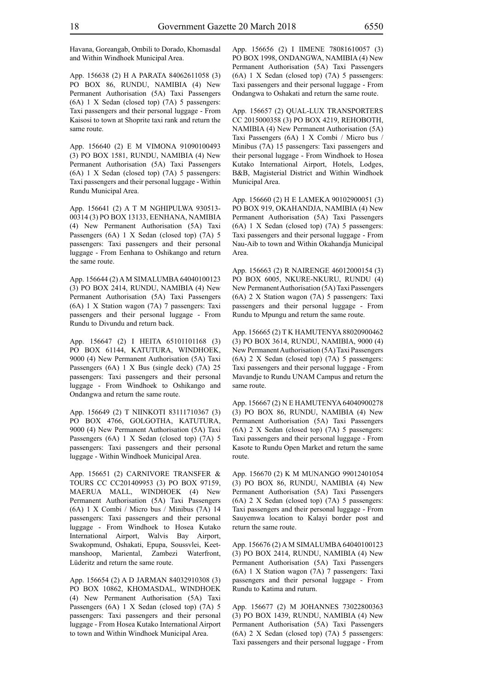Havana, Goreangab, Ombili to Dorado, Khomasdal and Within Windhoek Municipal Area.

App. 156638 (2) H A PARATA 84062611058 (3) PO BOX 86, RUNDU, NAMIBIA (4) New Permanent Authorisation (5A) Taxi Passengers (6A) 1 X Sedan (closed top) (7A) 5 passengers: Taxi passengers and their personal luggage - From Kaisosi to town at Shoprite taxi rank and return the same route.

App. 156640 (2) E M VIMONA 91090100493 (3) PO BOX 1581, RUNDU, NAMIBIA (4) New Permanent Authorisation (5A) Taxi Passengers (6A) 1 X Sedan (closed top) (7A) 5 passengers: Taxi passengers and their personal luggage - Within Rundu Municipal Area.

App. 156641 (2) A T M NGHIPULWA 930513- 00314 (3) PO BOX 13133, EENHANA, NAMIBIA (4) New Permanent Authorisation (5A) Taxi Passengers (6A) 1 X Sedan (closed top) (7A) 5 passengers: Taxi passengers and their personal luggage - From Eenhana to Oshikango and return the same route.

App. 156644 (2) A M SIMALUMBA 64040100123 (3) PO BOX 2414, RUNDU, NAMIBIA (4) New Permanent Authorisation (5A) Taxi Passengers (6A) 1 X Station wagon (7A) 7 passengers: Taxi passengers and their personal luggage - From Rundu to Divundu and return back.

App. 156647 (2) I HEITA 65101101168 (3) PO BOX 61144, KATUTURA, WINDHOEK, 9000 (4) New Permanent Authorisation (5A) Taxi Passengers (6A) 1 X Bus (single deck) (7A) 25 passengers: Taxi passengers and their personal luggage - From Windhoek to Oshikango and Ondangwa and return the same route.

App. 156649 (2) T NIINKOTI 83111710367 (3) PO BOX 4766, GOLGOTHA, KATUTURA, 9000 (4) New Permanent Authorisation (5A) Taxi Passengers (6A) 1 X Sedan (closed top) (7A) 5 passengers: Taxi passengers and their personal luggage - Within Windhoek Municipal Area.

App. 156651 (2) CARNIVORE TRANSFER & TOURS CC CC201409953 (3) PO BOX 97159, MAERUA MALL, WINDHOEK (4) New Permanent Authorisation (5A) Taxi Passengers (6A) 1 X Combi / Micro bus / Minibus (7A) 14 passengers: Taxi passengers and their personal luggage - From Windhoek to Hosea Kutako International Airport, Walvis Bay Airport, Swakopmund, Oshakati, Epupa, Soussvlei, Keetmanshoop, Mariental, Zambezi Waterfront, Lüderitz and return the same route.

App. 156654 (2) A D JARMAN 84032910308 (3) PO BOX 10862, KHOMASDAL, WINDHOEK (4) New Permanent Authorisation (5A) Taxi Passengers (6A) 1 X Sedan (closed top) (7A) 5 passengers: Taxi passengers and their personal luggage - From Hosea Kutako International Airport to town and Within Windhoek Municipal Area.

App. 156656 (2) I IIMENE 78081610057 (3) PO BOX 1998, ONDANGWA, NAMIBIA (4) New Permanent Authorisation (5A) Taxi Passengers (6A) 1 X Sedan (closed top) (7A) 5 passengers: Taxi passengers and their personal luggage - From Ondangwa to Oshakati and return the same route.

App. 156657 (2) QUAL-LUX TRANSPORTERS CC 2015000358 (3) PO BOX 4219, REHOBOTH, NAMIBIA (4) New Permanent Authorisation (5A) Taxi Passengers (6A) 1 X Combi / Micro bus / Minibus (7A) 15 passengers: Taxi passengers and their personal luggage - From Windhoek to Hosea Kutako International Airport, Hotels, Lodges, B&B, Magisterial District and Within Windhoek Municipal Area.

App. 156660 (2) H E LAMEKA 90102900051 (3) PO BOX 919, OKAHANDJA, NAMIBIA (4) New Permanent Authorisation (5A) Taxi Passengers (6A) 1 X Sedan (closed top) (7A) 5 passengers: Taxi passengers and their personal luggage - From Nau-Aib to town and Within Okahandja Municipal Area.

App. 156663 (2) R NAIRENGE 46012000154 (3) PO BOX 6005, NKURE-NKURU, RUNDU (4) New Permanent Authorisation (5A) Taxi Passengers (6A) 2 X Station wagon (7A) 5 passengers: Taxi passengers and their personal luggage - From Rundu to Mpungu and return the same route.

App. 156665 (2) T K HAMUTENYA 88020900462 (3) PO BOX 3614, RUNDU, NAMIBIA, 9000 (4) New Permanent Authorisation (5A) Taxi Passengers (6A) 2 X Sedan (closed top) (7A) 5 passengers: Taxi passengers and their personal luggage - From Mavandje to Rundu UNAM Campus and return the same route.

App. 156667 (2) N E HAMUTENYA 64040900278 (3) PO BOX 86, RUNDU, NAMIBIA (4) New Permanent Authorisation (5A) Taxi Passengers (6A) 2 X Sedan (closed top) (7A) 5 passengers: Taxi passengers and their personal luggage - From Kasote to Rundu Open Market and return the same route.

App. 156670 (2) K M MUNANGO 99012401054 (3) PO BOX 86, RUNDU, NAMIBIA (4) New Permanent Authorisation (5A) Taxi Passengers (6A) 2 X Sedan (closed top) (7A) 5 passengers: Taxi passengers and their personal luggage - From Sauyemwa location to Kalayi border post and return the same route.

App. 156676 (2) A M SIMALUMBA 64040100123 (3) PO BOX 2414, RUNDU, NAMIBIA (4) New Permanent Authorisation (5A) Taxi Passengers (6A) 1 X Station wagon (7A) 7 passengers: Taxi passengers and their personal luggage - From Rundu to Katima and ruturn.

App. 156677 (2) M JOHANNES 73022800363 (3) PO BOX 1439, RUNDU, NAMIBIA (4) New Permanent Authorisation (5A) Taxi Passengers (6A) 2 X Sedan (closed top) (7A) 5 passengers: Taxi passengers and their personal luggage - From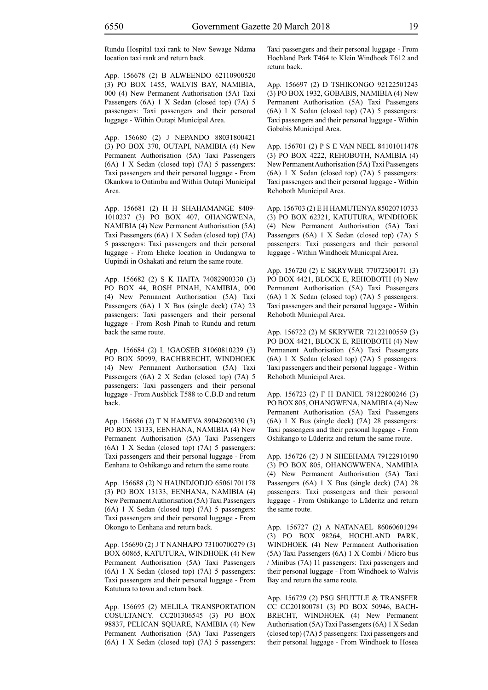Rundu Hospital taxi rank to New Sewage Ndama location taxi rank and return back.

App. 156678 (2) B ALWEENDO 62110900520 (3) PO BOX 1455, WALVIS BAY, NAMIBIA, 000 (4) New Permanent Authorisation (5A) Taxi Passengers (6A) 1 X Sedan (closed top) (7A) 5 passengers: Taxi passengers and their personal luggage - Within Outapi Municipal Area.

App. 156680 (2) J NEPANDO 88031800421 (3) PO BOX 370, OUTAPI, NAMIBIA (4) New Permanent Authorisation (5A) Taxi Passengers (6A) 1 X Sedan (closed top) (7A) 5 passengers: Taxi passengers and their personal luggage - From Okankwa to Ontimbu and Within Outapi Municipal Area.

App. 156681 (2) H H SHAHAMANGE 8409- 1010237 (3) PO BOX 407, OHANGWENA, NAMIBIA (4) New Permanent Authorisation (5A) Taxi Passengers (6A) 1 X Sedan (closed top) (7A) 5 passengers: Taxi passengers and their personal luggage - From Eheke location in Ondangwa to Uupindi in Oshakati and return the same route.

App. 156682 (2) S K HAITA 74082900330 (3) PO BOX 44, ROSH PINAH, NAMIBIA, 000 (4) New Permanent Authorisation (5A) Taxi Passengers (6A) 1 X Bus (single deck) (7A) 23 passengers: Taxi passengers and their personal luggage - From Rosh Pinah to Rundu and return back the same route.

App. 156684 (2) L !GAOSEB 81060810239 (3) PO BOX 50999, BACHBRECHT, WINDHOEK (4) New Permanent Authorisation (5A) Taxi Passengers (6A) 2 X Sedan (closed top) (7A) 5 passengers: Taxi passengers and their personal luggage - From Ausblick T588 to C.B.D and return back.

App. 156686 (2) T N HAMEVA 89042600330 (3) PO BOX 13133, EENHANA, NAMIBIA (4) New Permanent Authorisation (5A) Taxi Passengers (6A) 1 X Sedan (closed top) (7A) 5 passengers: Taxi passengers and their personal luggage - From Eenhana to Oshikango and return the same route.

App. 156688 (2) N HAUNDJODJO 65061701178 (3) PO BOX 13133, EENHANA, NAMIBIA (4) New Permanent Authorisation (5A) Taxi Passengers (6A) 1 X Sedan (closed top) (7A) 5 passengers: Taxi passengers and their personal luggage - From Okongo to Eenhana and return back.

App. 156690 (2) J T NANHAPO 73100700279 (3) BOX 60865, KATUTURA, WINDHOEK (4) New Permanent Authorisation (5A) Taxi Passengers (6A) 1 X Sedan (closed top) (7A) 5 passengers: Taxi passengers and their personal luggage - From Katutura to town and return back.

App. 156695 (2) MELILA TRANSPORTATION COSULTANCY. CC201306545 (3) PO BOX 98837, PELICAN SQUARE, NAMIBIA (4) New Permanent Authorisation (5A) Taxi Passengers (6A) 1 X Sedan (closed top) (7A) 5 passengers: Taxi passengers and their personal luggage - From Hochland Park T464 to Klein Windhoek T612 and return back.

App. 156697 (2) D TSHIKONGO 92122501243 (3) PO BOX 1932, GOBABIS, NAMIBIA (4) New Permanent Authorisation (5A) Taxi Passengers (6A) 1 X Sedan (closed top) (7A) 5 passengers: Taxi passengers and their personal luggage - Within Gobabis Municipal Area.

App. 156701 (2) P S E VAN NEEL 84101011478 (3) PO BOX 4222, REHOBOTH, NAMIBIA (4) New Permanent Authorisation (5A) Taxi Passengers (6A) 1 X Sedan (closed top) (7A) 5 passengers: Taxi passengers and their personal luggage - Within Rehoboth Municipal Area.

App. 156703 (2) E H HAMUTENYA 85020710733 (3) PO BOX 62321, KATUTURA, WINDHOEK (4) New Permanent Authorisation (5A) Taxi Passengers (6A) 1 X Sedan (closed top) (7A) 5 passengers: Taxi passengers and their personal luggage - Within Windhoek Municipal Area.

App. 156720 (2) E SKRYWER 77072300171 (3) PO BOX 4421, BLOCK E, REHOBOTH (4) New Permanent Authorisation (5A) Taxi Passengers (6A) 1 X Sedan (closed top) (7A) 5 passengers: Taxi passengers and their personal luggage - Within Rehoboth Municipal Area.

App. 156722 (2) M SKRYWER 72122100559 (3) PO BOX 4421, BLOCK E, REHOBOTH (4) New Permanent Authorisation (5A) Taxi Passengers (6A) 1 X Sedan (closed top) (7A) 5 passengers: Taxi passengers and their personal luggage - Within Rehoboth Municipal Area.

App. 156723 (2) F H DANIEL 78122800246 (3) PO BOX 805, OHANGWENA, NAMIBIA (4) New Permanent Authorisation (5A) Taxi Passengers (6A) 1 X Bus (single deck) (7A) 28 passengers: Taxi passengers and their personal luggage - From Oshikango to Lüderitz and return the same route.

App. 156726 (2) J N SHEEHAMA 79122910190 (3) PO BOX 805, OHANGWWENA, NAMIBIA (4) New Permanent Authorisation (5A) Taxi Passengers (6A) 1 X Bus (single deck) (7A) 28 passengers: Taxi passengers and their personal luggage - From Oshikango to Lüderitz and return the same route.

App. 156727 (2) A NATANAEL 86060601294 (3) PO BOX 98264, HOCHLAND PARK, WINDHOEK (4) New Permanent Authorisation (5A) Taxi Passengers (6A) 1 X Combi / Micro bus / Minibus (7A) 11 passengers: Taxi passengers and their personal luggage - From Windhoek to Walvis Bay and return the same route.

App. 156729 (2) PSG SHUTTLE & TRANSFER CC CC201800781 (3) PO BOX 50946, BACH-BRECHT, WINDHOEK (4) New Permanent Authorisation (5A) Taxi Passengers (6A) 1 X Sedan (closed top) (7A) 5 passengers: Taxi passengers and their personal luggage - From Windhoek to Hosea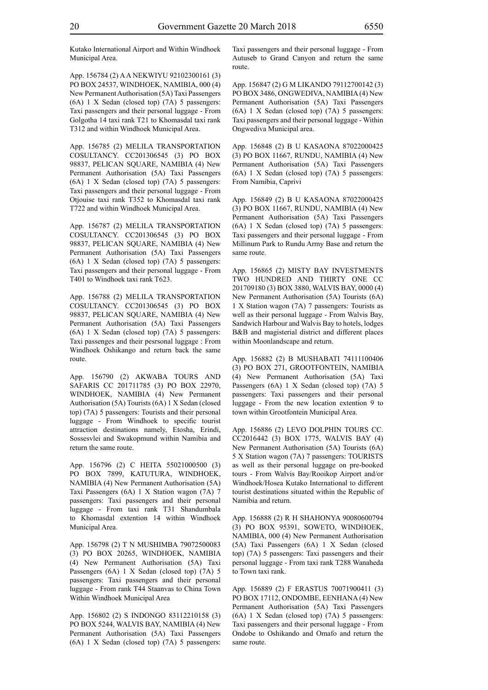Kutako International Airport and Within Windhoek Municipal Area.

App. 156784 (2) A A NEKWIYU 92102300161 (3) PO BOX 24537, WINDHOEK, NAMIBIA, 000 (4) New Permanent Authorisation (5A) Taxi Passengers (6A) 1 X Sedan (closed top) (7A) 5 passengers: Taxi passengers and their personal luggage - From Golgotha 14 taxi rank T21 to Khomasdal taxi rank T312 and within Windhoek Municipal Area.

App. 156785 (2) MELILA TRANSPORTATION COSULTANCY. CC201306545 (3) PO BOX 98837, PELICAN SQUARE, NAMIBIA (4) New Permanent Authorisation (5A) Taxi Passengers (6A) 1 X Sedan (closed top) (7A) 5 passengers: Taxi passengers and their personal luggage - From Otjouise taxi rank T352 to Khomasdal taxi rank T722 and within Windhoek Municipal Area.

App. 156787 (2) MELILA TRANSPORTATION COSULTANCY. CC201306545 (3) PO BOX 98837, PELICAN SQUARE, NAMIBIA (4) New Permanent Authorisation (5A) Taxi Passengers (6A) 1 X Sedan (closed top) (7A) 5 passengers: Taxi passengers and their personal luggage - From T401 to Windhoek taxi rank T623.

App. 156788 (2) MELILA TRANSPORTATION COSULTANCY. CC201306545 (3) PO BOX 98837, PELICAN SQUARE, NAMIBIA (4) New Permanent Authorisation (5A) Taxi Passengers (6A) 1 X Sedan (closed top) (7A) 5 passengers: Taxi passenges and their pesrsonal luggage : From Windhoek Oshikango and return back the same route.

App. 156790 (2) AKWABA TOURS AND SAFARIS CC 201711785 (3) PO BOX 22970, WINDHOEK, NAMIBIA (4) New Permanent Authorisation (5A) Tourists (6A) 1 X Sedan (closed top) (7A) 5 passengers: Tourists and their personal luggage - From Windhoek to specific tourist attraction destinations namely, Etosha, Erindi, Sossesvlei and Swakopmund within Namibia and return the same route.

App. 156796 (2) C HEITA 55021000500 (3) PO BOX 7899, KATUTURA, WINDHOEK, NAMIBIA (4) New Permanent Authorisation (5A) Taxi Passengers (6A) 1 X Station wagon (7A) 7 passengers: Taxi passengers and their personal luggage - From taxi rank T31 Shandumbala to Khomasdal extention 14 within Windhoek Municipal Area.

App. 156798 (2) T N MUSHIMBA 79072500083 (3) PO BOX 20265, WINDHOEK, NAMIBIA (4) New Permanent Authorisation (5A) Taxi Passengers (6A) 1 X Sedan (closed top) (7A) 5 passengers: Taxi passengers and their personal luggage - From rank T44 Staanvas to China Town Within Windhoek Municipal Area

App. 156802 (2) S INDONGO 83112210158 (3) PO BOX 5244, WALVIS BAY, NAMIBIA (4) New Permanent Authorisation (5A) Taxi Passengers (6A) 1 X Sedan (closed top) (7A) 5 passengers: Taxi passengers and their personal luggage - From Autuseb to Grand Canyon and return the same route.

App. 156847 (2) G M LIKANDO 79112700142 (3) PO BOX 3486, ONGWEDIVA, NAMIBIA (4) New Permanent Authorisation (5A) Taxi Passengers (6A) 1 X Sedan (closed top) (7A) 5 passengers: Taxi passengers and their personal luggage - Within Ongwediva Municipal area.

App. 156848 (2) B U KASAONA 87022000425 (3) PO BOX 11667, RUNDU, NAMIBIA (4) New Permanent Authorisation (5A) Taxi Passengers (6A) 1 X Sedan (closed top) (7A) 5 passengers: From Namibia, Caprivi

App. 156849 (2) B U KASAONA 87022000425 (3) PO BOX 11667, RUNDU, NAMIBIA (4) New Permanent Authorisation (5A) Taxi Passengers (6A) 1 X Sedan (closed top) (7A) 5 passengers: Taxi passengers and their personal luggage - From Millinum Park to Rundu Army Base and return the same route.

App. 156865 (2) MISTY BAY INVESTMENTS TWO HUNDRED AND THIRTY ONE CC 201709180 (3) BOX 3880, WALVIS BAY, 0000 (4) New Permanent Authorisation (5A) Tourists (6A) 1 X Station wagon (7A) 7 passengers: Tourists as well as their personal luggage - From Walvis Bay, Sandwich Harbour and Walvis Bay to hotels, lodges B&B and magisterial district and different places within Moonlandscape and return.

App. 156882 (2) B MUSHABATI 74111100406 (3) PO BOX 271, GROOTFONTEIN, NAMIBIA (4) New Permanent Authorisation (5A) Taxi Passengers (6A) 1 X Sedan (closed top) (7A) 5 passengers: Taxi passengers and their personal luggage - From the new location extention 9 to town within Grootfontein Municipal Area.

App. 156886 (2) LEVO DOLPHIN TOURS CC. CC2016442 (3) BOX 1775, WALVIS BAY (4) New Permanent Authorisation (5A) Tourists (6A) 5 X Station wagon (7A) 7 passengers: TOURISTS as well as their personal luggage on pre-booked tours - From Walvis Bay/Rooikop Airport and/or Windhoek/Hosea Kutako International to different tourist destinations situated within the Republic of Namibia and return.

App. 156888 (2) R H SHAHONYA 90080600794 (3) PO BOX 95391, SOWETO, WINDHOEK, NAMIBIA, 000 (4) New Permanent Authorisation (5A) Taxi Passengers (6A) 1 X Sedan (closed top) (7A) 5 passengers: Taxi passengers and their personal luggage - From taxi rank T288 Wanaheda to Town taxi rank.

App. 156889 (2) F ERASTUS 70071900411 (3) PO BOX 17112, ONDOMBE, EENHANA (4) New Permanent Authorisation (5A) Taxi Passengers (6A) 1 X Sedan (closed top) (7A) 5 passengers: Taxi passengers and their personal luggage - From Ondobe to Oshikando and Omafo and return the same route.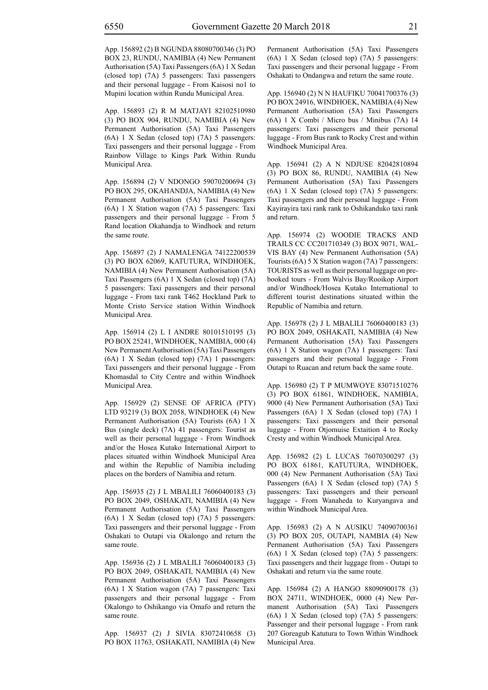App. 156892 (2) B NGUNDA 88080700346 (3) PO BOX 23, RUNDU, NAMIBIA (4) New Permanent Authorisation (5A) Taxi Passengers (6A) 1 X Sedan (closed top) (7A) 5 passengers: Taxi passengers and their personal luggage - From Kaisosi no1 to Mupini location within Rundu Municipal Area.

App. 156893 (2) R M MATJAYI 82102510980 (3) PO BOX 904, RUNDU, NAMIBIA (4) New Permanent Authorisation (5A) Taxi Passengers (6A) 1 X Sedan (closed top) (7A) 5 passengers: Taxi passengers and their personal luggage - From Rainbow Village to Kings Park Within Rundu Municipal Area.

App. 156894 (2) V NDONGO 59070200694 (3) PO BOX 295, OKAHANDJA, NAMIBIA (4) New Permanent Authorisation (5A) Taxi Passengers (6A) 1 X Station wagon (7A) 5 passengers: Taxi passengers and their personal luggage - From 5 Rand location Okahandja to Windhoek and return the same route.

App. 156897 (2) J NAMALENGA 74122200539 (3) PO BOX 62069, KATUTURA, WINDHOEK, NAMIBIA (4) New Permanent Authorisation (5A) Taxi Passengers (6A) 1 X Sedan (closed top) (7A) 5 passengers: Taxi passengers and their personal luggage - From taxi rank T462 Hockland Park to Monte Cristo Service station Within Windhoek Municipal Area.

App. 156914 (2) L I ANDRE 80101510195 (3) PO BOX 25241, WINDHOEK, NAMIBIA, 000 (4) New Permanent Authorisation (5A) Taxi Passengers (6A) 1 X Sedan (closed top) (7A) 1 passengers: Taxi passengers and their personal luggage - From Khomasdal to City Centre and within Windhoek Municipal Area.

App. 156929 (2) SENSE OF AFRICA (PTY) LTD 93219 (3) BOX 2058, WINDHOEK (4) New Permanent Authorisation (5A) Tourists (6A) 1 X Bus (single deck) (7A) 41 passengers: Tourist as well as their personal luggage - From Windhoek and/or the Hosea Kutako International Airport to places situated within Windhoek Municipal Area and within the Republic of Namibia including places on the borders of Namibia and return.

App. 156935 (2) J L MBALILI 76060400183 (3) PO BOX 2049, OSHAKATI, NAMIBIA (4) New Permanent Authorisation (5A) Taxi Passengers (6A) 1 X Sedan (closed top) (7A) 5 passengers: Taxi passengers and their personal luggage - From Oshakati to Outapi via Okalongo and return the same route.

App. 156936 (2) J L MBALILI 76060400183 (3) PO BOX 2049, OSHAKATI, NAMIBIA (4) New Permanent Authorisation (5A) Taxi Passengers (6A) 1 X Station wagon (7A) 7 passengers: Taxi passengers and their personal luggage - From Okalongo to Oshikango via Omafo and return the same route.

App. 156937 (2) J SIVIA 83072410658 (3) PO BOX 11763, OSHAKATI, NAMIBIA (4) New Permanent Authorisation (5A) Taxi Passengers (6A) 1 X Sedan (closed top) (7A) 5 passengers: Taxi passengers and their personal luggage - From Oshakati to Ondangwa and return the same route.

App. 156940 (2) N N HAUFIKU 70041700376 (3) PO BOX 24916, WINDHOEK, NAMIBIA (4) New Permanent Authorisation (5A) Taxi Passengers (6A) 1 X Combi / Micro bus / Minibus (7A) 14 passengers: Taxi passengers and their personal luggage - From Bus rank to Rocky Crest and within Windhoek Municipal Area.

App. 156941 (2) A N NDJUSE 82042810894 (3) PO BOX 86, RUNDU, NAMIBIA (4) New Permanent Authorisation (5A) Taxi Passengers (6A) 1 X Sedan (closed top) (7A) 5 passengers: Taxi passengers and their personal luggage - From Kayirayira taxi rank rank to Oshikanduko taxi rank and return.

App. 156974 (2) WOODIE TRACKS AND TRAILS CC CC201710349 (3) BOX 9071, WAL-VIS BAY (4) New Permanent Authorisation (5A) Tourists (6A) 5 X Station wagon (7A) 7 passengers: TOURISTS as well as their personal luggage on prebooked tours - From Walvis Bay/Rooikop Airport and/or Windhoek/Hosea Kutako International to different tourist destinations situated within the Republic of Namibia and return.

App. 156978 (2) J L MBALILI 76060400183 (3) PO BOX 2049, OSHAKATI, NAMIBIA (4) New Permanent Authorisation (5A) Taxi Passengers (6A) 1 X Station wagon (7A) 1 passengers: Taxi passengers and their personal luggage - From Outapi to Ruacan and return back the same route.

App. 156980 (2) T P MUMWOYE 83071510276 (3) PO BOX 61861, WINDHOEK, NAMIBIA, 9000 (4) New Permanent Authorisation (5A) Taxi Passengers (6A) 1 X Sedan (closed top) (7A) 1 passengers: Taxi passengers and their personal luggage - From Otjomuise Extaition 4 to Rocky Cresty and within Windhoek Municipal Area.

App. 156982 (2) L LUCAS 76070300297 (3) PO BOX 61861, KATUTURA, WINDHOEK, 000 (4) New Permanent Authorisation (5A) Taxi Passengers (6A) 1 X Sedan (closed top) (7A) 5 passengers: Taxi passengers and their persoanl luggage - From Wanaheda to Kuryangava and within Windhoek Municipal Area.

App. 156983 (2) A N AUSIKU 74090700361 (3) PO BOX 205, OUTAPI, NAMBIA (4) New Permanent Authorisation (5A) Taxi Passengers (6A) 1 X Sedan (closed top) (7A) 5 passengers: Taxi passengers and their luggage from - Outapi to Oshakati and return via the same route.

App. 156984 (2) A HANGO 88090900178 (3) BOX 24711, WINDHOEK, 0000 (4) New Permanent Authorisation (5A) Taxi Passengers (6A) 1 X Sedan (closed top) (7A) 5 passengers: Passenger and their personal luggage - From rank 207 Goreagub Katutura to Town Within Windhoek Municipal Area.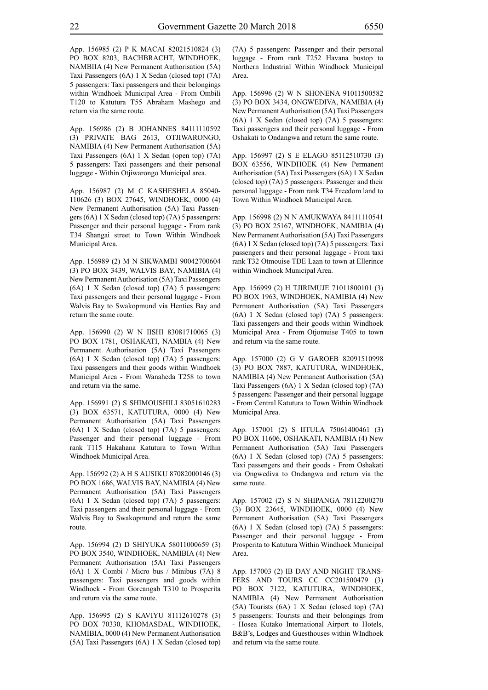App. 156985 (2) P K MACAI 82021510824 (3) PO BOX 8203, BACHBRACHT, WINDHOEK, NAMBIIA (4) New Permanent Authorisation (5A) Taxi Passengers (6A) 1 X Sedan (closed top) (7A) 5 passengers: Taxi passengers and their belongings within Windhoek Municipal Area - From Ombili T120 to Katutura T55 Abraham Mashego and return via the same route.

App. 156986 (2) B JOHANNES 84111110592 (3) PRIVATE BAG 2613, OTJIWARONGO, NAMIBIA (4) New Permanent Authorisation (5A) Taxi Passengers (6A) 1 X Sedan (open top) (7A) 5 passengers: Taxi passengers and their personal luggage - Within Otjiwarongo Municipal area.

App. 156987 (2) M C KASHESHELA 85040- 110626 (3) BOX 27645, WINDHOEK, 0000 (4) New Permanent Authorisation (5A) Taxi Passengers (6A) 1 X Sedan (closed top) (7A) 5 passengers: Passenger and their personal luggage - From rank T34 Shangai street to Town Within Windhoek Municipal Area.

App. 156989 (2) M N SIKWAMBI 90042700604 (3) PO BOX 3439, WALVIS BAY, NAMIBIA (4) New Permanent Authorisation (5A) Taxi Passengers (6A) 1 X Sedan (closed top) (7A) 5 passengers: Taxi passengers and their personal luggage - From Walvis Bay to Swakopmund via Henties Bay and return the same route.

App. 156990 (2) W N IISHI 83081710065 (3) PO BOX 1781, OSHAKATI, NAMBIA (4) New Permanent Authorisation (5A) Taxi Passengers (6A) 1 X Sedan (closed top) (7A) 5 passengers: Taxi passengers and their goods within Windhoek Municipal Area - From Wanaheda T258 to town and return via the same.

App. 156991 (2) S SHIMOUSHILI 83051610283 (3) BOX 63571, KATUTURA, 0000 (4) New Permanent Authorisation (5A) Taxi Passengers (6A) 1 X Sedan (closed top) (7A) 5 passengers: Passenger and their personal luggage - From rank T115 Hakahana Katutura to Town Within Windhoek Municipal Area.

App. 156992 (2) A H S AUSIKU 87082000146 (3) PO BOX 1686, WALVIS BAY, NAMIBIA (4) New Permanent Authorisation (5A) Taxi Passengers (6A) 1 X Sedan (closed top) (7A) 5 passengers: Taxi passengers and their personal luggage - From Walvis Bay to Swakopmund and return the same route.

App. 156994 (2) D SHIYUKA 58011000659 (3) PO BOX 3540, WINDHOEK, NAMIBIA (4) New Permanent Authorisation (5A) Taxi Passengers (6A) 1 X Combi / Micro bus / Minibus (7A) 8 passengers: Taxi passengers and goods within Windhoek - From Goreangab T310 to Prosperita and return via the same route.

App. 156995 (2) S KAVIYU 81112610278 (3) PO BOX 70330, KHOMASDAL, WINDHOEK, NAMIBIA, 0000 (4) New Permanent Authorisation (5A) Taxi Passengers (6A) 1 X Sedan (closed top) (7A) 5 passengers: Passenger and their personal luggage - From rank T252 Havana bustop to Northern Industrial Within Windhoek Municipal Area.

App. 156996 (2) W N SHONENA 91011500582 (3) PO BOX 3434, ONGWEDIVA, NAMIBIA (4) New Permanent Authorisation (5A) Taxi Passengers (6A) 1 X Sedan (closed top) (7A) 5 passengers: Taxi passengers and their personal luggage - From Oshakati to Ondangwa and return the same route.

App. 156997 (2) S E ELAGO 85112510730 (3) BOX 63556, WINDHOEK (4) New Permanent Authorisation (5A) Taxi Passengers (6A) 1 X Sedan (closed top) (7A) 5 passengers: Passenger and their personal luggage - From rank T34 Freedom land to Town Within Windhoek Municipal Area.

App. 156998 (2) N N AMUKWAYA 84111110541 (3) PO BOX 25167, WINDHOEK, NAMIBIA (4) New Permanent Authorisation (5A) Taxi Passengers (6A) 1 X Sedan (closed top) (7A) 5 passengers: Taxi passengers and their personal luggage - From taxi rank T32 Otmouise TDE Laan to town at Ellerince within Windhoek Municipal Area.

App. 156999 (2) H TJIRIMUJE 71011800101 (3) PO BOX 1963, WINDHOEK, NAMIBIA (4) New Permanent Authorisation (5A) Taxi Passengers (6A) 1 X Sedan (closed top) (7A) 5 passengers: Taxi passengers and their goods within Windhoek Municipal Area - From Otjomuise T405 to town and return via the same route.

App. 157000 (2) G V GAROEB 82091510998 (3) PO BOX 7887, KATUTURA, WINDHOEK, NAMIBIA (4) New Permanent Authorisation (5A) Taxi Passengers (6A) 1 X Sedan (closed top) (7A) 5 passengers: Passenger and their personal luggage - From Central Katutura to Town Within Windhoek Municipal Area.

App. 157001 (2) S IITULA 75061400461 (3) PO BOX 11606, OSHAKATI, NAMIBIA (4) New Permanent Authorisation (5A) Taxi Passengers (6A) 1 X Sedan (closed top) (7A) 5 passengers: Taxi passengers and their goods - From Oshakati via Ongwediva to Ondangwa and return via the same route.

App. 157002 (2) S N SHIPANGA 78112200270 (3) BOX 23645, WINDHOEK, 0000 (4) New Permanent Authorisation (5A) Taxi Passengers (6A) 1 X Sedan (closed top) (7A) 5 passengers: Passenger and their personal luggage - From Prosperita to Katutura Within Windhoek Municipal Area.

App. 157003 (2) IB DAY AND NIGHT TRANS-FERS AND TOURS CC CC201500479 (3) PO BOX 7122, KATUTURA, WINDHOEK, NAMIBIA (4) New Permanent Authorisation (5A) Tourists (6A) 1 X Sedan (closed top) (7A) 5 passengers: Tourists and their belongings from - Hosea Kutako International Airport to Hotels, B&B's, Lodges and Guesthouses within WIndhoek and return via the same route.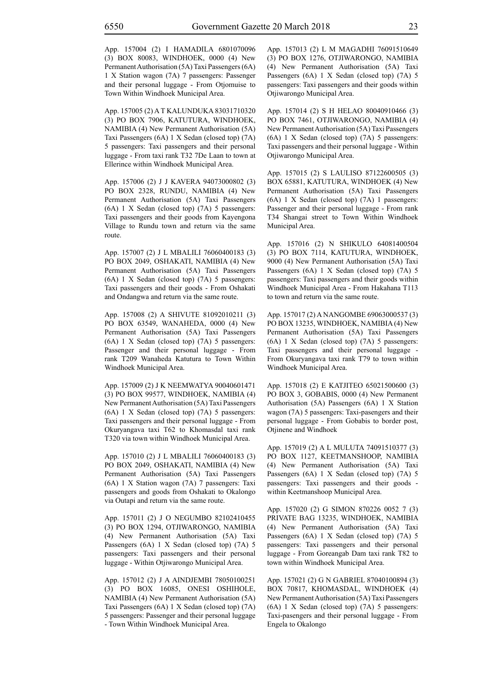App. 157004 (2) I HAMADILA 6801070096 (3) BOX 80083, WINDHOEK, 0000 (4) New Permanent Authorisation (5A) Taxi Passengers (6A) 1 X Station wagon (7A) 7 passengers: Passenger and their personal luggage - From Otjomuise to Town Within Windhoek Municipal Area.

App. 157005 (2) A T KALUNDUKA 83031710320 (3) PO BOX 7906, KATUTURA, WINDHOEK, NAMIBIA (4) New Permanent Authorisation (5A) Taxi Passengers (6A) 1 X Sedan (closed top) (7A) 5 passengers: Taxi passengers and their personal luggage - From taxi rank T32 7De Laan to town at Ellerince within Windhoek Municipal Area.

App. 157006 (2) J J KAVERA 94073000802 (3) PO BOX 2328, RUNDU, NAMIBIA (4) New Permanent Authorisation (5A) Taxi Passengers (6A) 1 X Sedan (closed top) (7A) 5 passengers: Taxi passengers and their goods from Kayengona Village to Rundu town and return via the same route.

App. 157007 (2) J L MBALILI 76060400183 (3) PO BOX 2049, OSHAKATI, NAMIBIA (4) New Permanent Authorisation (5A) Taxi Passengers (6A) 1 X Sedan (closed top) (7A) 5 passengers: Taxi passengers and their goods - From Oshakati and Ondangwa and return via the same route.

App. 157008 (2) A SHIVUTE 81092010211 (3) PO BOX 63549, WANAHEDA, 0000 (4) New Permanent Authorisation (5A) Taxi Passengers (6A) 1 X Sedan (closed top) (7A) 5 passengers: Passenger and their personal luggage - From rank T209 Wanaheda Katutura to Town Within Windhoek Municipal Area.

App. 157009 (2) J K NEEMWATYA 90040601471 (3) PO BOX 99577, WINDHOEK, NAMIBIA (4) New Permanent Authorisation (5A) Taxi Passengers (6A) 1 X Sedan (closed top) (7A) 5 passengers: Taxi passengers and their personal luggage - From Okuryangava taxi T62 to Khomasdal taxi rank T320 via town within Windhoek Municipal Area.

App. 157010 (2) J L MBALILI 76060400183 (3) PO BOX 2049, OSHAKATI, NAMIBIA (4) New Permanent Authorisation (5A) Taxi Passengers (6A) 1 X Station wagon (7A) 7 passengers: Taxi passengers and goods from Oshakati to Okalongo via Outapi and return via the same route.

App. 157011 (2) J O NEGUMBO 82102410455 (3) PO BOX 1294, OTJIWARONGO, NAMIBIA (4) New Permanent Authorisation (5A) Taxi Passengers (6A) 1 X Sedan (closed top) (7A) 5 passengers: Taxi passengers and their personal luggage - Within Otjiwarongo Municipal Area.

App. 157012 (2) J A AINDJEMBI 78050100251 (3) PO BOX 16085, ONESI OSHIHOLE, NAMIBIA (4) New Permanent Authorisation (5A) Taxi Passengers (6A) 1 X Sedan (closed top) (7A) 5 passengers: Passenger and their personal luggage - Town Within Windhoek Municipal Area.

App. 157013 (2) L M MAGADHI 76091510649 (3) PO BOX 1276, OTJIWARONGO, NAMIBIA (4) New Permanent Authorisation (5A) Taxi Passengers (6A) 1 X Sedan (closed top) (7A) 5 passengers: Taxi passengers and their goods within Otjiwarongo Municipal Area.

App. 157014 (2) S H HELAO 80040910466 (3) PO BOX 7461, OTJIWARONGO, NAMIBIA (4) New Permanent Authorisation (5A) Taxi Passengers (6A) 1 X Sedan (closed top) (7A) 5 passengers: Taxi passengers and their personal luggage - Within Otjiwarongo Municipal Area.

App. 157015 (2) S LAULISO 87122600505 (3) BOX 65881, KATUTURA, WINDHOEK (4) New Permanent Authorisation (5A) Taxi Passengers (6A) 1 X Sedan (closed top) (7A) 1 passengers: Passenger and their personal luggage - From rank T34 Shangai street to Town Within Windhoek Municipal Area.

App. 157016 (2) N SHIKULO 64081400504 (3) PO BOX 7114, KATUTURA, WINDHOEK, 9000 (4) New Permanent Authorisation (5A) Taxi Passengers (6A) 1 X Sedan (closed top) (7A) 5 passengers: Taxi passengers and their goods within Windhoek Municipal Area - From Hakahana T113 to town and return via the same route.

App. 157017 (2) A NANGOMBE 69063000537 (3) PO BOX 13235, WINDHOEK, NAMIBIA (4) New Permanent Authorisation (5A) Taxi Passengers (6A) 1 X Sedan (closed top) (7A) 5 passengers: Taxi passengers and their personal luggage - From Okuryangava taxi rank T79 to town within Windhoek Municipal Area.

App. 157018 (2) E KATJITEO 65021500600 (3) PO BOX 3, GOBABIS, 0000 (4) New Permanent Authorisation (5A) Passengers (6A) 1 X Station wagon (7A) 5 passengers: Taxi-pasengers and their personal luggage - From Gobabis to border post, Otjinene and Windhoek

App. 157019 (2) A L MULUTA 74091510377 (3) PO BOX 1127, KEETMANSHOOP, NAMIBIA (4) New Permanent Authorisation (5A) Taxi Passengers (6A) 1 X Sedan (closed top) (7A) 5 passengers: Taxi passengers and their goods within Keetmanshoop Municipal Area.

App. 157020 (2) G SIMON 870226 0052 7 (3) PRIVATE BAG 13235, WINDHOEK, NAMIBIA (4) New Permanent Authorisation (5A) Taxi Passengers (6A) 1 X Sedan (closed top) (7A) 5 passengers: Taxi passengers and their personal luggage - From Goreangab Dam taxi rank T82 to town within Windhoek Municipal Area.

App. 157021 (2) G N GABRIEL 87040100894 (3) BOX 70817, KHOMASDAL, WINDHOEK (4) New Permanent Authorisation (5A) Taxi Passengers (6A) 1 X Sedan (closed top) (7A) 5 passengers: Taxi-pasengers and their personal luggage - From Engela to Okalongo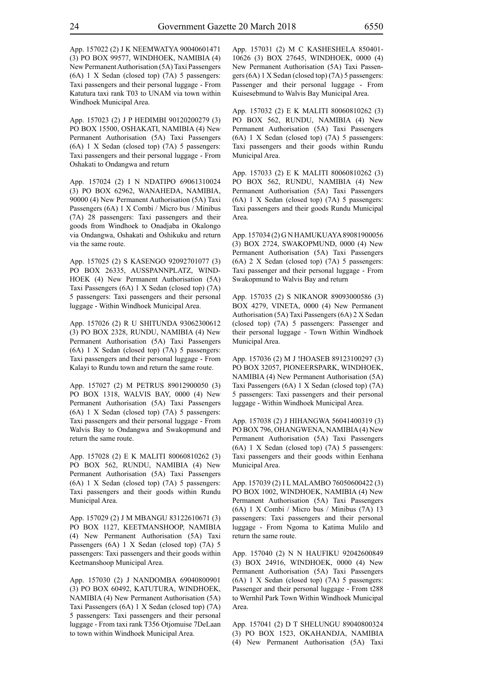App. 157022 (2) J K NEEMWATYA 90040601471 (3) PO BOX 99577, WINDHOEK, NAMIBIA (4) New Permanent Authorisation (5A) Taxi Passengers (6A) 1 X Sedan (closed top) (7A) 5 passengers: Taxi passengers and their personal luggage - From Katutura taxi rank T03 to UNAM via town within Windhoek Municipal Area.

App. 157023 (2) J P HEDIMBI 90120200279 (3) PO BOX 15500, OSHAKATI, NAMIBIA (4) New Permanent Authorisation (5A) Taxi Passengers (6A) 1 X Sedan (closed top) (7A) 5 passengers: Taxi passengers and their personal luggage - From Oshakati to Ondangwa and return

App. 157024 (2) I N NDATIPO 69061310024 (3) PO BOX 62962, WANAHEDA, NAMIBIA, 90000 (4) New Permanent Authorisation (5A) Taxi Passengers (6A) 1 X Combi / Micro bus / Minibus (7A) 28 passengers: Taxi passengers and their goods from Windhoek to Onadjaba in Okalongo via Ondangwa, Oshakati and Oshikuku and return via the same route.

App. 157025 (2) S KASENGO 92092701077 (3) PO BOX 26335, AUSSPANNPLATZ, WIND-HOEK (4) New Permanent Authorisation (5A) Taxi Passengers (6A) 1 X Sedan (closed top) (7A) 5 passengers: Taxi passengers and their personal luggage - Within Windhoek Municipal Area.

App. 157026 (2) R U SHITUNDA 93062300612 (3) PO BOX 2328, RUNDU, NAMIBIA (4) New Permanent Authorisation (5A) Taxi Passengers (6A) 1 X Sedan (closed top) (7A) 5 passengers: Taxi passengers and their personal luggage - From Kalayi to Rundu town and return the same route.

App. 157027 (2) M PETRUS 89012900050 (3) PO BOX 1318, WALVIS BAY, 0000 (4) New Permanent Authorisation (5A) Taxi Passengers (6A) 1 X Sedan (closed top) (7A) 5 passengers: Taxi passengers and their personal luggage - From Walvis Bay to Ondangwa and Swakopmund and return the same route.

App. 157028 (2) E K MALITI 80060810262 (3) PO BOX 562, RUNDU, NAMIBIA (4) New Permanent Authorisation (5A) Taxi Passengers (6A) 1 X Sedan (closed top) (7A) 5 passengers: Taxi passengers and their goods within Rundu Municipal Area.

App. 157029 (2) J M MBANGU 83122610671 (3) PO BOX 1127, KEETMANSHOOP, NAMIBIA (4) New Permanent Authorisation (5A) Taxi Passengers (6A) 1 X Sedan (closed top) (7A) 5 passengers: Taxi passengers and their goods within Keetmanshoop Municipal Area.

App. 157030 (2) J NANDOMBA 69040800901 (3) PO BOX 60492, KATUTURA, WINDHOEK, NAMIBIA (4) New Permanent Authorisation (5A) Taxi Passengers (6A) 1 X Sedan (closed top) (7A) 5 passengers: Taxi passengers and their personal luggage - From taxi rank T356 Otjomuise 7DeLaan to town within Windhoek Municipal Area.

App. 157031 (2) M C KASHESHELA 850401- 10626 (3) BOX 27645, WINDHOEK, 0000 (4) New Permanent Authorisation (5A) Taxi Passengers (6A) 1 X Sedan (closed top) (7A) 5 passengers: Passenger and their personal luggage - From Kuisesebmund to Walvis Bay Municipal Area.

App. 157032 (2) E K MALITI 80060810262 (3) PO BOX 562, RUNDU, NAMIBIA (4) New Permanent Authorisation (5A) Taxi Passengers (6A) 1 X Sedan (closed top) (7A) 5 passengers: Taxi passengers and their goods within Rundu Municipal Area.

App. 157033 (2) E K MALITI 80060810262 (3) PO BOX 562, RUNDU, NAMIBIA (4) New Permanent Authorisation (5A) Taxi Passengers (6A) 1 X Sedan (closed top) (7A) 5 passengers: Taxi passengers and their goods Rundu Municipal Area.

App. 157034 (2) G N HAMUKUAYA 89081900056 (3) BOX 2724, SWAKOPMUND, 0000 (4) New Permanent Authorisation (5A) Taxi Passengers (6A) 2 X Sedan (closed top) (7A) 5 passengers: Taxi passenger and their personal luggage - From Swakopmund to Walvis Bay and return

App. 157035 (2) S NIKANOR 89093000586 (3) BOX 4279, VINETA, 0000 (4) New Permanent Authorisation (5A) Taxi Passengers (6A) 2 X Sedan (closed top) (7A) 5 passengers: Passenger and their personal luggage - Town Within Windhoek Municipal Area.

App. 157036 (2) M J !HOASEB 89123100297 (3) PO BOX 32057, PIONEERSPARK, WINDHOEK, NAMIBIA (4) New Permanent Authorisation (5A) Taxi Passengers (6A) 1 X Sedan (closed top) (7A) 5 passengers: Taxi passengers and their personal luggage - Within Windhoek Municipal Area.

App. 157038 (2) J HIHANGWA 56041400319 (3) PO BOX 796, OHANGWENA, NAMIBIA (4) New Permanent Authorisation (5A) Taxi Passengers (6A) 1 X Sedan (closed top) (7A) 5 passengers: Taxi passengers and their goods within Eenhana Municipal Area.

App. 157039 (2) I L MALAMBO 76050600422 (3) PO BOX 1002, WINDHOEK, NAMIBIA (4) New Permanent Authorisation (5A) Taxi Passengers (6A) 1 X Combi / Micro bus / Minibus (7A) 13 passengers: Taxi passengers and their personal luggage - From Ngoma to Katima Mulilo and return the same route.

App. 157040 (2) N N HAUFIKU 92042600849 (3) BOX 24916, WINDHOEK, 0000 (4) New Permanent Authorisation (5A) Taxi Passengers (6A) 1 X Sedan (closed top) (7A) 5 passengers: Passenger and their personal luggage - From t288 to Wernhil Park Town Within Windhoek Municipal Area.

App. 157041 (2) D T SHELUNGU 89040800324 (3) PO BOX 1523, OKAHANDJA, NAMIBIA (4) New Permanent Authorisation (5A) Taxi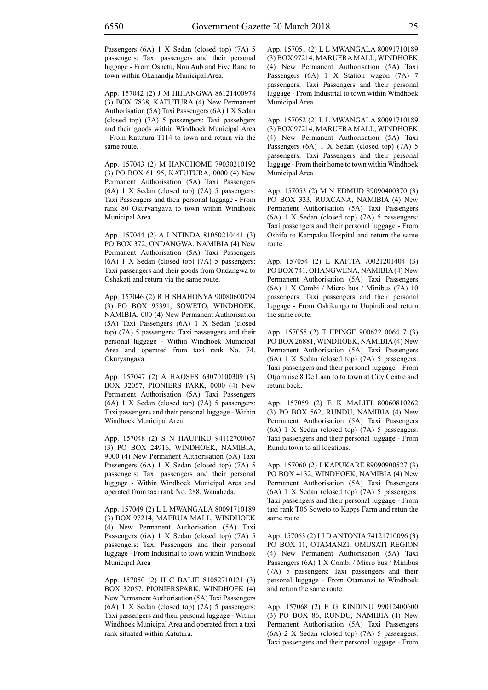Passengers (6A) 1 X Sedan (closed top) (7A) 5 passengers: Taxi passengers and their personal luggage - From Oshetu, Nou Aub and Five Rand to town within Okahandja Municipal Area.

App. 157042 (2) J M HIHANGWA 86121400978 (3) BOX 7838, KATUTURA (4) New Permanent Authorisation (5A) Taxi Passengers (6A) 1 X Sedan (closed top) (7A) 5 passengers: Taxi passebgers and their goods within Windhoek Municipal Area - From Katutura T114 to town and return via the same route.

App. 157043 (2) M HANGHOME 79030210192 (3) PO BOX 61195, KATUTURA, 0000 (4) New Permanent Authorisation (5A) Taxi Passengers (6A) 1 X Sedan (closed top) (7A) 5 passengers: Taxi Passengers and their personal luggage - From rank 80 Okuryangava to town within Windhoek Municipal Area

App. 157044 (2) A I NTINDA 81050210441 (3) PO BOX 372, ONDANGWA, NAMIBIA (4) New Permanent Authorisation (5A) Taxi Passengers (6A) 1 X Sedan (closed top) (7A) 5 passengers: Taxi passengers and their goods from Ondangwa to Oshakati and return via the same route.

App. 157046 (2) R H SHAHONYA 90080600794 (3) PO BOX 95391, SOWETO, WINDHOEK, NAMIBIA, 000 (4) New Permanent Authorisation (5A) Taxi Passengers (6A) 1 X Sedan (closed top) (7A) 5 passengers: Taxi passengers and their personal luggage - Within Windhoek Municipal Area and operated from taxi rank No. 74, Okuryangava.

App. 157047 (2) A HAOSES 63070100309 (3) BOX 32057, PIONIERS PARK, 0000 (4) New Permanent Authorisation (5A) Taxi Passengers (6A) 1 X Sedan (closed top) (7A) 5 passengers: Taxi passengers and their personal luggage - Within Windhoek Municipal Area.

App. 157048 (2) S N HAUFIKU 94112700067 (3) PO BOX 24916, WINDHOEK, NAMIBIA, 9000 (4) New Permanent Authorisation (5A) Taxi Passengers (6A) 1 X Sedan (closed top) (7A) 5 passengers: Taxi passengers and their personal luggage - Within Windhoek Municipal Area and operated from taxi rank No. 288, Wanaheda.

App. 157049 (2) L L MWANGALA 80091710189 (3) BOX 97214, MAERUA MALL, WINDHOEK (4) New Permanent Authorisation (5A) Taxi Passengers (6A) 1 X Sedan (closed top) (7A) 5 passengers: Taxi Passengers and their personal luggage - From Industrial to town within Windhoek Municipal Area

App. 157050 (2) H C BALIE 81082710121 (3) BOX 32057, PIONIERSPARK, WINDHOEK (4) New Permanent Authorisation (5A) Taxi Passengers (6A) 1 X Sedan (closed top) (7A) 5 passengers: Taxi passengers and their personal luggage - Within Windhoek Municipal Area and operated from a taxi rank situated within Katutura.

App. 157051 (2) L L MWANGALA 80091710189 (3) BOX 97214, MARUERA MALL, WINDHOEK (4) New Permanent Authorisation (5A) Taxi Passengers (6A) 1 X Station wagon (7A) 7 passengers: Taxi Passengers and their personal luggage - From Industrial to town within Windhoek Municipal Area

App. 157052 (2) L L MWANGALA 80091710189 (3) BOX 97214, MARUERA MALL, WINDHOEK (4) New Permanent Authorisation (5A) Taxi Passengers (6A) 1 X Sedan (closed top) (7A) 5 passengers: Taxi Passengers and their personal luggage - From their home to town within Windhoek Municipal Area

App. 157053 (2) M N EDMUD 89090400370 (3) PO BOX 333, RUACANA, NAMIBIA (4) New Permanent Authorisation (5A) Taxi Passengers (6A) 1 X Sedan (closed top) (7A) 5 passengers: Taxi passengers and their personal luggage - From Oshifo to Kampaku Hospital and return the same route.

App. 157054 (2) L KAFITA 70021201404 (3) PO BOX 741, OHANGWENA, NAMIBIA (4) New Permanent Authorisation (5A) Taxi Passengers (6A) 1 X Combi / Micro bus / Minibus (7A) 10 passengers: Taxi passengers and their personal luggage - From Oshikango to Uupindi and return the same route.

App. 157055 (2) T IIPINGE 900622 0064 7 (3) PO BOX 26881, WINDHOEK, NAMIBIA (4) New Permanent Authorisation (5A) Taxi Passengers (6A) 1 X Sedan (closed top) (7A) 5 passengers: Taxi passengers and their personal luggage - From Otjomuise 8 De Laan to to town at City Centre and return back.

App. 157059 (2) E K MALITI 80060810262 (3) PO BOX 562, RUNDU, NAMIBIA (4) New Permanent Authorisation (5A) Taxi Passengers (6A) 1 X Sedan (closed top) (7A) 5 passengers: Taxi passengers and their personal luggage - From Rundu town to all locations.

App. 157060 (2) I KAPUKARE 89090900527 (3) PO BOX 4132, WINDHOEK, NAMIBIA (4) New Permanent Authorisation (5A) Taxi Passengers (6A) 1 X Sedan (closed top) (7A) 5 passengers: Taxi passengers and their personal luggage - From taxi rank T06 Soweto to Kapps Farm and retun the same route.

App. 157063 (2) I J D ANTONIA 74121710096 (3) PO BOX 11, OTAMANZI, OMUSATI REGION (4) New Permanent Authorisation (5A) Taxi Passengers (6A) 1 X Combi / Micro bus / Minibus (7A) 5 passengers: Taxi passengers and their personal luggage - From Otamanzi to Windhoek and return the same route.

App. 157068 (2) E G KINDINU 99012400600 (3) PO BOX 86, RUNDU, NAMIBIA (4) New Permanent Authorisation (5A) Taxi Passengers (6A) 2 X Sedan (closed top) (7A) 5 passengers: Taxi passengers and their personal luggage - From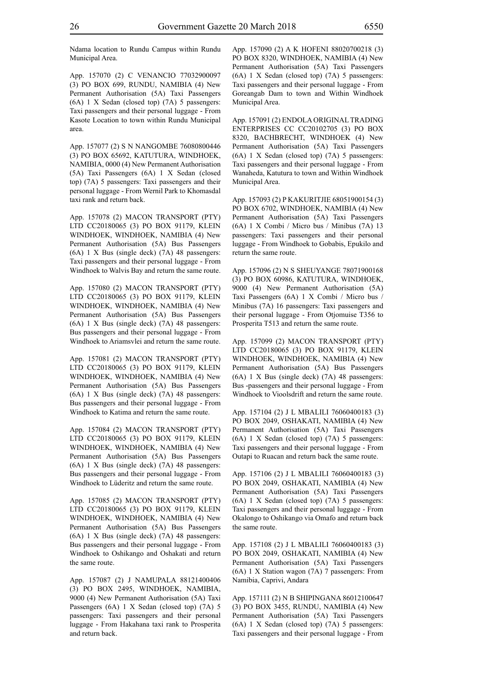Ndama location to Rundu Campus within Rundu Municipal Area.

App. 157070 (2) C VENANCIO 77032900097 (3) PO BOX 699, RUNDU, NAMIBIA (4) New Permanent Authorisation (5A) Taxi Passengers (6A) 1 X Sedan (closed top) (7A) 5 passengers: Taxi passengers and their personal luggage - From Kasote Location to town within Rundu Municipal area.

App. 157077 (2) S N NANGOMBE 76080800446 (3) PO BOX 65692, KATUTURA, WINDHOEK, NAMIBIA, 0000 (4) New Permanent Authorisation (5A) Taxi Passengers (6A) 1 X Sedan (closed top) (7A) 5 passengers: Taxi passengers and their personal luggage - From Wernil Park to Khomasdal taxi rank and return back.

App. 157078 (2) MACON TRANSPORT (PTY) LTD CC20180065 (3) PO BOX 91179, KLEIN WINDHOEK, WINDHOEK, NAMIBIA (4) New Permanent Authorisation (5A) Bus Passengers (6A) 1 X Bus (single deck) (7A) 48 passengers: Taxi passengers and their personal luggage - From Windhoek to Walvis Bay and return the same route.

App. 157080 (2) MACON TRANSPORT (PTY) LTD CC20180065 (3) PO BOX 91179, KLEIN WINDHOEK, WINDHOEK, NAMIBIA (4) New Permanent Authorisation (5A) Bus Passengers (6A) 1 X Bus (single deck) (7A) 48 passengers: Bus passengers and their personal luggage - From Windhoek to Ariamsvlei and return the same route.

App. 157081 (2) MACON TRANSPORT (PTY) LTD CC20180065 (3) PO BOX 91179, KLEIN WINDHOEK, WINDHOEK, NAMIBIA (4) New Permanent Authorisation (5A) Bus Passengers (6A) 1 X Bus (single deck) (7A) 48 passengers: Bus passengers and their personal luggage - From Windhoek to Katima and return the same route.

App. 157084 (2) MACON TRANSPORT (PTY) LTD CC20180065 (3) PO BOX 91179, KLEIN WINDHOEK, WINDHOEK, NAMIBIA (4) New Permanent Authorisation (5A) Bus Passengers (6A) 1 X Bus (single deck) (7A) 48 passengers: Bus passengers and their personal luggage - From Windhoek to Lüderitz and return the same route.

App. 157085 (2) MACON TRANSPORT (PTY) LTD CC20180065 (3) PO BOX 91179, KLEIN WINDHOEK, WINDHOEK, NAMIBIA (4) New Permanent Authorisation (5A) Bus Passengers (6A) 1 X Bus (single deck) (7A) 48 passengers: Bus passengers and their personal luggage - From Windhoek to Oshikango and Oshakati and return the same route.

App. 157087 (2) J NAMUPALA 88121400406 (3) PO BOX 2495, WINDHOEK, NAMIBIA, 9000 (4) New Permanent Authorisation (5A) Taxi Passengers (6A) 1 X Sedan (closed top) (7A) 5 passengers: Taxi passengers and their personal luggage - From Hakahana taxi rank to Prosperita and return back.

App. 157090 (2) A K HOFENI 88020700218 (3) PO BOX 8320, WINDHOEK, NAMIBIA (4) New Permanent Authorisation (5A) Taxi Passengers (6A) 1 X Sedan (closed top) (7A) 5 passengers: Taxi passengers and their personal luggage - From Goreangab Dam to town and Within Windhoek Municipal Area.

App. 157091 (2) ENDOLA ORIGINAL TRADING ENTERPRISES CC CC20102705 (3) PO BOX 8320, BACHBRECHT, WINDHOEK (4) New Permanent Authorisation (5A) Taxi Passengers (6A) 1 X Sedan (closed top) (7A) 5 passengers: Taxi passengers and their personal luggage - From Wanaheda, Katutura to town and Within Windhoek Municipal Area.

App. 157093 (2) P KAKURITJIE 68051900154 (3) PO BOX 6702, WINDHOEK, NAMIBIA (4) New Permanent Authorisation (5A) Taxi Passengers (6A) 1 X Combi / Micro bus / Minibus (7A) 13 passengers: Taxi passengers and their personal luggage - From Windhoek to Gobabis, Epukilo and return the same route.

App. 157096 (2) N S SHEUYANGE 78071900168 (3) PO BOX 60986, KATUTURA, WINDHOEK, 9000 (4) New Permanent Authorisation (5A) Taxi Passengers (6A) 1 X Combi / Micro bus / Minibus (7A) 16 passengers: Taxi passengers and their personal luggage - From Otjomuise T356 to Prosperita T513 and return the same route.

App. 157099 (2) MACON TRANSPORT (PTY) LTD CC20180065 (3) PO BOX 91179, KLEIN WINDHOEK, WINDHOEK, NAMIBIA (4) New Permanent Authorisation (5A) Bus Passengers (6A) 1 X Bus (single deck) (7A) 48 passengers: Bus -passengers and their personal luggage - From Windhoek to Vioolsdrift and return the same route.

App. 157104 (2) J L MBALILI 76060400183 (3) PO BOX 2049, OSHAKATI, NAMIBIA (4) New Permanent Authorisation (5A) Taxi Passengers (6A) 1 X Sedan (closed top) (7A) 5 passengers: Taxi passengers and their personal luggage - From Outapi to Ruacan and return back the same route.

App. 157106 (2) J L MBALILI 76060400183 (3) PO BOX 2049, OSHAKATI, NAMIBIA (4) New Permanent Authorisation (5A) Taxi Passengers (6A) 1 X Sedan (closed top) (7A) 5 passengers: Taxi passengers and their personal luggage - From Okalongo to Oshikango via Omafo and return back the same route.

App. 157108 (2) J L MBALILI 76060400183 (3) PO BOX 2049, OSHAKATI, NAMIBIA (4) New Permanent Authorisation (5A) Taxi Passengers (6A) 1 X Station wagon (7A) 7 passengers: From Namibia, Caprivi, Andara

App. 157111 (2) N B SHIPINGANA 86012100647 (3) PO BOX 3455, RUNDU, NAMIBIA (4) New Permanent Authorisation (5A) Taxi Passengers (6A) 1 X Sedan (closed top) (7A) 5 passengers: Taxi passengers and their personal luggage - From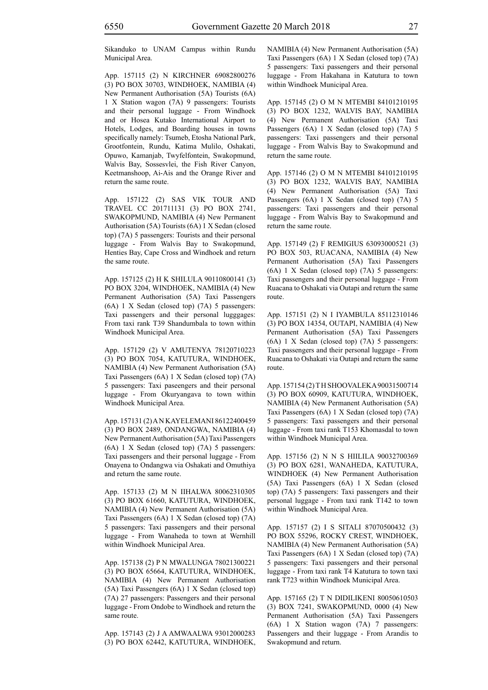Sikanduko to UNAM Campus within Rundu Municipal Area.

App. 157115 (2) N KIRCHNER 69082800276 (3) PO BOX 30703, WINDHOEK, NAMIBIA (4) New Permanent Authorisation (5A) Tourists (6A) 1 X Station wagon (7A) 9 passengers: Tourists and their personal luggage - From Windhoek and or Hosea Kutako International Airport to Hotels, Lodges, and Boarding houses in towns specifically namely: Tsumeb, Etosha National Park, Grootfontein, Rundu, Katima Mulilo, Oshakati, Opuwo, Kamanjab, Twyfelfontein, Swakopmund, Walvis Bay, Sossesvlei, the Fish River Canyon, Keetmanshoop, Ai-Ais and the Orange River and return the same route.

App. 157122 (2) SAS VIK TOUR AND TRAVEL CC 201711131 (3) PO BOX 2741, SWAKOPMUND, NAMIBIA (4) New Permanent Authorisation (5A) Tourists (6A) 1 X Sedan (closed top) (7A) 5 passengers: Tourists and their personal luggage - From Walvis Bay to Swakopmund, Henties Bay, Cape Cross and Windhoek and return the same route.

App. 157125 (2) H K SHILULA 90110800141 (3) PO BOX 3204, WINDHOEK, NAMIBIA (4) New Permanent Authorisation (5A) Taxi Passengers (6A) 1 X Sedan (closed top) (7A) 5 passengers: Taxi passengers and their personal lugggages: From taxi rank T39 Shandumbala to town within Windhoek Municipal Area.

App. 157129 (2) V AMUTENYA 78120710223 (3) PO BOX 7054, KATUTURA, WINDHOEK, NAMIBIA (4) New Permanent Authorisation (5A) Taxi Passengers (6A) 1 X Sedan (closed top) (7A) 5 passengers: Taxi paseengers and their personal luggage - From Okuryangava to town within Windhoek Municipal Area.

App. 157131 (2) A N KAYELEMANI 86122400459 (3) PO BOX 2489, ONDANGWA, NAMIBIA (4) New Permanent Authorisation (5A) Taxi Passengers (6A) 1 X Sedan (closed top) (7A) 5 passengers: Taxi passengers and their personal luggage - From Onayena to Ondangwa via Oshakati and Omuthiya and return the same route.

App. 157133 (2) M N IIHALWA 80062310305 (3) PO BOX 61660, KATUTURA, WINDHOEK, NAMIBIA (4) New Permanent Authorisation (5A) Taxi Passengers (6A) 1 X Sedan (closed top) (7A) 5 passengers: Taxi passengers and their personal luggage - From Wanaheda to town at Wernhill within Windhoek Municipal Area.

App. 157138 (2) P N MWALUNGA 78021300221 (3) PO BOX 65664, KATUTURA, WINDHOEK, NAMIBIA (4) New Permanent Authorisation (5A) Taxi Passengers (6A) 1 X Sedan (closed top) (7A) 27 passengers: Passengers and their personal luggage - From Ondobe to Windhoek and return the same route.

App. 157143 (2) J A AMWAALWA 93012000283 (3) PO BOX 62442, KATUTURA, WINDHOEK, NAMIBIA (4) New Permanent Authorisation (5A) Taxi Passengers (6A) 1 X Sedan (closed top) (7A) 5 passengers: Taxi passengers and their personal luggage - From Hakahana in Katutura to town within Windhoek Municipal Area.

App. 157145 (2) O M N MTEMBI 84101210195 (3) PO BOX 1232, WALVIS BAY, NAMIBIA (4) New Permanent Authorisation (5A) Taxi Passengers (6A) 1 X Sedan (closed top) (7A) 5 passengers: Taxi passengers and their personal luggage - From Walvis Bay to Swakopmund and return the same route.

App. 157146 (2) O M N MTEMBI 84101210195 (3) PO BOX 1232, WALVIS BAY, NAMIBIA (4) New Permanent Authorisation (5A) Taxi Passengers (6A) 1 X Sedan (closed top) (7A) 5 passengers: Taxi passengers and their personal luggage - From Walvis Bay to Swakopmund and return the same route.

App. 157149 (2) F REMIGIUS 63093000521 (3) PO BOX 503, RUACANA, NAMIBIA (4) New Permanent Authorisation (5A) Taxi Passengers (6A) 1 X Sedan (closed top) (7A) 5 passengers: Taxi passengers and their personal luggage - From Ruacana to Oshakati via Outapi and return the same route.

App. 157151 (2) N I IYAMBULA 85112310146 (3) PO BOX 14354, OUTAPI, NAMIBIA (4) New Permanent Authorisation (5A) Taxi Passengers (6A) 1 X Sedan (closed top) (7A) 5 passengers: Taxi passengers and their personal luggage - From Ruacana to Oshakati via Outapi and return the same route.

App. 157154 (2) T H SHOOVALEKA 90031500714 (3) PO BOX 60909, KATUTURA, WINDHOEK, NAMIBIA (4) New Permanent Authorisation (5A) Taxi Passengers (6A) 1 X Sedan (closed top) (7A) 5 passengers: Taxi passengers and their personal luggage - From taxi rank T153 Khomasdal to town within Windhoek Municipal Area.

App. 157156 (2) N N S HIILILA 90032700369 (3) PO BOX 6281, WANAHEDA, KATUTURA, WINDHOEK (4) New Permanent Authorisation (5A) Taxi Passengers (6A) 1 X Sedan (closed top) (7A) 5 passengers: Taxi passengers and their personal luggage - From taxi rank T142 to town within Windhoek Municipal Area.

App. 157157 (2) I S SITALI 87070500432 (3) PO BOX 55296, ROCKY CREST, WINDHOEK, NAMIBIA (4) New Permanent Authorisation (5A) Taxi Passengers (6A) 1 X Sedan (closed top) (7A) 5 passengers: Taxi passengers and their personal luggage - From taxi rank T4 Katutura to town taxi rank T723 within Windhoek Municipal Area.

App. 157165 (2) T N DIDILIKENI 80050610503 (3) BOX 7241, SWAKOPMUND, 0000 (4) New Permanent Authorisation (5A) Taxi Passengers (6A) 1 X Station wagon (7A) 7 passengers: Passengers and their luggage - From Arandis to Swakopmund and return.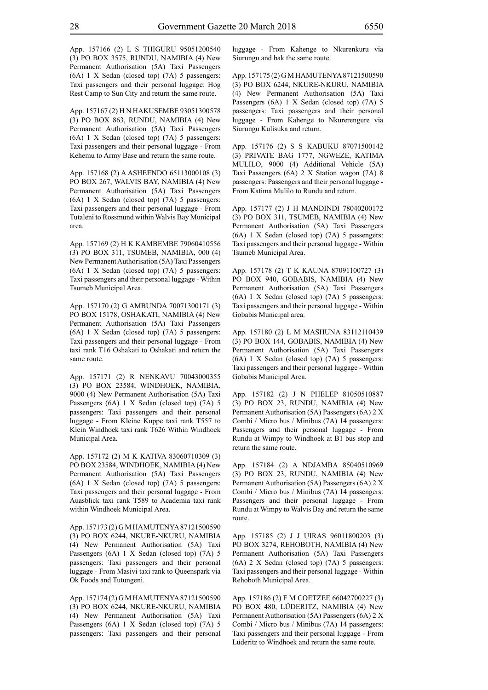App. 157166 (2) L S THIGURU 95051200540 (3) PO BOX 3575, RUNDU, NAMIBIA (4) New Permanent Authorisation (5A) Taxi Passengers (6A) 1 X Sedan (closed top) (7A) 5 passengers: Taxi passengers and their personal luggage: Hog Rest Camp to Sun City and return the same route.

App. 157167 (2) H N HAKUSEMBE 93051300578 (3) PO BOX 863, RUNDU, NAMIBIA (4) New Permanent Authorisation (5A) Taxi Passengers (6A) 1 X Sedan (closed top) (7A) 5 passengers: Taxi passengers and their personal luggage - From Kehemu to Army Base and return the same route.

App. 157168 (2) A ASHEENDO 65113000108 (3) PO BOX 267, WALVIS BAY, NAMIBIA (4) New Permanent Authorisation (5A) Taxi Passengers (6A) 1 X Sedan (closed top) (7A) 5 passengers: Taxi passengers and their personal luggage - From Tutaleni to Rossmund within Walvis Bay Municipal area.

App. 157169 (2) H K KAMBEMBE 79060410556 (3) PO BOX 311, TSUMEB, NAMIBIA, 000 (4) New Permanent Authorisation (5A) Taxi Passengers (6A) 1 X Sedan (closed top) (7A) 5 passengers: Taxi passengers and their personal luggage - Within Tsumeb Municipal Area.

App. 157170 (2) G AMBUNDA 70071300171 (3) PO BOX 15178, OSHAKATI, NAMIBIA (4) New Permanent Authorisation (5A) Taxi Passengers (6A) 1 X Sedan (closed top) (7A) 5 passengers: Taxi passengers and their personal luggage - From taxi rank T16 Oshakati to Oshakati and return the same route.

App. 157171 (2) R NENKAVU 70043000355 (3) PO BOX 23584, WINDHOEK, NAMIBIA, 9000 (4) New Permanent Authorisation (5A) Taxi Passengers (6A) 1 X Sedan (closed top) (7A) 5 passengers: Taxi passengers and their personal luggage - From Kleine Kuppe taxi rank T557 to Klein Windhoek taxi rank T626 Within Windhoek Municipal Area.

App. 157172 (2) M K KATIVA 83060710309 (3) PO BOX 23584, WINDHOEK, NAMIBIA (4) New Permanent Authorisation (5A) Taxi Passengers (6A) 1 X Sedan (closed top) (7A) 5 passengers: Taxi passengers and their personal luggage - From Auasblick taxi rank T589 to Academia taxi rank within Windhoek Municipal Area.

App. 157173 (2) G M HAMUTENYA 87121500590 (3) PO BOX 6244, NKURE-NKURU, NAMIBIA (4) New Permanent Authorisation (5A) Taxi Passengers (6A) 1 X Sedan (closed top) (7A) 5 passengers: Taxi passengers and their personal luggage - From Masivi taxi rank to Queenspark via Ok Foods and Tutungeni.

App. 157174 (2) G M HAMUTENYA 87121500590 (3) PO BOX 6244, NKURE-NKURU, NAMIBIA (4) New Permanent Authorisation (5A) Taxi Passengers (6A) 1 X Sedan (closed top) (7A) 5 passengers: Taxi passengers and their personal luggage - From Kahenge to Nkurenkuru via Siurungu and bak the same route.

App. 157175 (2) G M HAMUTENYA 87121500590 (3) PO BOX 6244, NKURE-NKURU, NAMIBIA (4) New Permanent Authorisation (5A) Taxi Passengers (6A) 1 X Sedan (closed top) (7A) 5 passengers: Taxi passengers and their personal luggage - From Kahenge to Nkurerengure via Siurungu Kulisuka and return.

App. 157176 (2) S S KABUKU 87071500142 (3) PRIVATE BAG 1777, NGWEZE, KATIMA MULILO, 9000 (4) Additional Vehicle (5A) Taxi Passengers (6A) 2 X Station wagon (7A) 8 passengers: Passengers and their personal luggage - From Katima Mulilo to Rundu and return.

App. 157177 (2) J H MANDINDI 78040200172 (3) PO BOX 311, TSUMEB, NAMIBIA (4) New Permanent Authorisation (5A) Taxi Passengers (6A) 1 X Sedan (closed top) (7A) 5 passengers: Taxi passengers and their personal luggage - Within Tsumeb Municipal Area.

App. 157178 (2) T K KAUNA 87091100727 (3) PO BOX 940, GOBABIS, NAMIBIA (4) New Permanent Authorisation (5A) Taxi Passengers (6A) 1 X Sedan (closed top) (7A) 5 passengers: Taxi passengers and their personal luggage - Within Gobabis Municipal area.

App. 157180 (2) L M MASHUNA 83112110439 (3) PO BOX 144, GOBABIS, NAMIBIA (4) New Permanent Authorisation (5A) Taxi Passengers (6A) 1 X Sedan (closed top) (7A) 5 passengers: Taxi passengers and their personal luggage - Within Gobabis Municipal Area.

App. 157182 (2) J N PHELEP 81050510887 (3) PO BOX 23, RUNDU, NAMIBIA (4) New Permanent Authorisation (5A) Passengers (6A) 2 X Combi / Micro bus / Minibus (7A) 14 passengers: Passengers and their personal luggage - From Rundu at Wimpy to Windhoek at B1 bus stop and return the same route.

App. 157184 (2) A NDJAMBA 85040510969 (3) PO BOX 23, RUNDU, NAMIBIA (4) New Permanent Authorisation (5A) Passengers (6A) 2 X Combi / Micro bus / Minibus (7A) 14 passengers: Passengers and their personal luggage - From Rundu at Wimpy to Walvis Bay and return the same route.

App. 157185 (2) J J UIRAS 96011800203 (3) PO BOX 3274, REHOBOTH, NAMIBIA (4) New Permanent Authorisation (5A) Taxi Passengers (6A) 2 X Sedan (closed top) (7A) 5 passengers: Taxi passengers and their personal luggage - Within Rehoboth Municipal Area.

App. 157186 (2) F M COETZEE 66042700227 (3) PO BOX 480, LÜDERITZ, NAMIBIA (4) New Permanent Authorisation (5A) Passengers (6A) 2 X Combi / Micro bus / Minibus (7A) 14 passengers: Taxi passengers and their personal luggage - From Lüderitz to Windhoek and return the same route.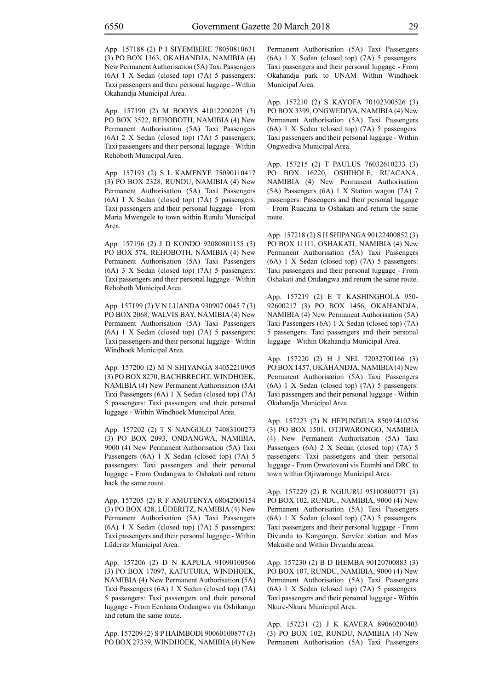App. 157188 (2) P I SIYEMBERE 78050810631 (3) PO BOX 1363, OKAHANDJA, NAMIBIA (4) New Permanent Authorisation (5A) Taxi Passengers (6A) 1 X Sedan (closed top) (7A) 5 passengers: Taxi passengers and their personal luggage - Within Okahandja Municipal Area.

App. 157190 (2) M BOOYS 41012200205 (3) PO BOX 3522, REHOBOTH, NAMIBIA (4) New Permanent Authorisation (5A) Taxi Passengers (6A) 2 X Sedan (closed top) (7A) 5 passengers: Taxi passengers and their personal luggage - Within Rehoboth Municipal Area.

App. 157193 (2) S L KAMENYE 75090110417 (3) PO BOX 2328, RUNDU, NAMIBIA (4) New Permanent Authorisation (5A) Taxi Passengers (6A) 1 X Sedan (closed top) (7A) 5 passengers: Taxi passengers and their personal luggage - From Maria Mwengele to town within Rundu Municipal Area.

App. 157196 (2) J D KONDO 92080801155 (3) PO BOX 574, REHOBOTH, NAMIBIA (4) New Permanent Authorisation (5A) Taxi Passengers (6A) 3 X Sedan (closed top) (7A) 5 passengers: Taxi passengers and their personal luggage - Within Rehoboth Municipal Area.

App. 157199 (2) V N LUANDA 930907 0045 7 (3) PO BOX 2068, WALVIS BAY, NAMIBIA (4) New Permanent Authorisation (5A) Taxi Passengers (6A) 1 X Sedan (closed top) (7A) 5 passengers: Taxi passengers and their personal luggage - Within Windhoek Municipal Area.

App. 157200 (2) M N SHIYANGA 84052210905 (3) PO BOX 8270, BACHBRECHT, WINDHOEK, NAMIBIA (4) New Permanent Authorisation (5A) Taxi Passengers (6A) 1 X Sedan (closed top) (7A) 5 passengers: Taxi passengers and their personal luggage - Within Windhoek Municipal Area.

App. 157202 (2) T S NANGOLO 74083100273 (3) PO BOX 2093, ONDANGWA, NAMIBIA, 9000 (4) New Permanent Authorisation (5A) Taxi Passengers (6A) 1 X Sedan (closed top) (7A) 5 passengers: Taxi passengers and their personal luggage - From Ondangwa to Oshakati and return back the same route.

App. 157205 (2) R F AMUTENYA 68042000154 (3) PO BOX 428, LÜDERITZ, NAMIBIA (4) New Permanent Authorisation (5A) Taxi Passengers (6A) 1 X Sedan (closed top) (7A) 5 passengers: Taxi passengers and their personal luggage - Within Lüderitz Municipal Area.

App. 157206 (2) D N KAPULA 91090100566 (3) PO BOX 17097, KATUTURA, WINDHOEK, NAMIBIA (4) New Permanent Authorisation (5A) Taxi Passengers (6A) 1 X Sedan (closed top) (7A) 5 passengers: Taxi passengers and their personal luggage - From Eenhana Ondangwa via Oshikango and return the same route.

App. 157209 (2) S P HAIMBODI 90060100877 (3) PO BOX 27339, WINDHOEK, NAMIBIA (4) New Permanent Authorisation (5A) Taxi Passengers (6A) 1 X Sedan (closed top) (7A) 5 passengers: Taxi passengers and their personal luggage - From Okahandja park to UNAM Within Windhoek Municipal Area.

App. 157210 (2) S KAYOFA 70102300526 (3) PO BOX 3399, ONGWEDIVA, NAMIBIA (4) New Permanent Authorisation (5A) Taxi Passengers (6A) 1 X Sedan (closed top) (7A) 5 passengers: Taxi passengers and their personal luggage - Within Ongwediva Municipal Area.

App. 157215 (2) T PAULUS 76032610233 (3) PO BOX 16220, OSHIHOLE, RUACANA, NAMIBIA (4) New Permanent Authorisation (5A) Passengers (6A) 1 X Station wagon (7A) 7 passengers: Passengers and their personal luggage - From Ruacana to Oshakati and return the same route.

App. 157218 (2) S H SHIPANGA 90122400852 (3) PO BOX 11111, OSHAKATI, NAMIBIA (4) New Permanent Authorisation (5A) Taxi Passengers (6A) 1 X Sedan (closed top) (7A) 5 passengers: Taxi passengers and their personal luggage - From Oshakati and Ondangwa and return the same route.

App. 157219 (2) E T KASHINGHOLA 950- 92600217 (3) PO BOX 1456, OKAHANDJA, NAMIBIA (4) New Permanent Authorisation (5A) Taxi Passengers (6A) 1 X Sedan (closed top) (7A) 5 passengers: Taxi passengers and their personal luggage - Within Okahandja Municipal Area.

App. 157220 (2) H J NEL 72032700166 (3) PO BOX 1457, OKAHANDJA, NAMIBIA (4) New Permanent Authorisation (5A) Taxi Passengers (6A) 1 X Sedan (closed top) (7A) 5 passengers: Taxi passengers and their personal luggage - Within Okahandja Municipal Area.

App. 157223 (2) N HEPUNDJUA 85091410236 (3) PO BOX 1501, OTJIWARONGO, NAMIBIA (4) New Permanent Authorisation (5A) Taxi Passengers (6A) 2 X Sedan (closed top) (7A) 5 passengers: Taxi passengers and their personal luggage - From Orwetoveni vis Etambi and DRC to town within Otjiwarongo Municipal Area.

App. 157229 (2) R NGUURU 95100800771 (3) PO BOX 102, RUNDU, NAMIBIA, 9000 (4) New Permanent Authorisation (5A) Taxi Passengers (6A) 1 X Sedan (closed top) (7A) 5 passengers: Taxi passengers and their personal luggage - From Divundu to Kangongo, Service station and Max Makushe and Within Divundu areas.

App. 157230 (2) B D IHEMBA 90120700883 (3) PO BOX 107, RUNDU, NAMIBIA, 9000 (4) New Permanent Authorisation (5A) Taxi Passengers (6A) 1 X Sedan (closed top) (7A) 5 passengers: Taxi passengers and their personal luggage - Within Nkure-Nkuru Municipal Area.

App. 157231 (2) J K KAVERA 89060200403 (3) PO BOX 102, RUNDU, NAMIBIA (4) New Permanent Authorisation (5A) Taxi Passengers